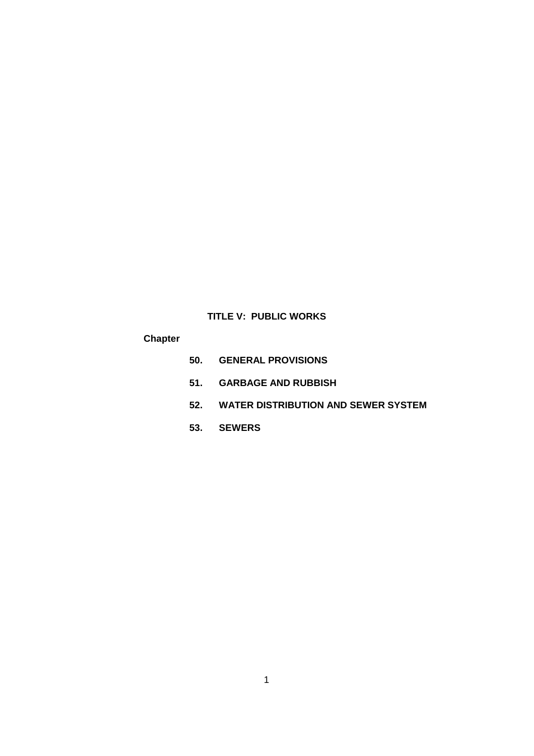# **TITLE V: PUBLIC WORKS**

# **Chapter**

- **50. GENERAL PROVISIONS**
- **51. GARBAGE AND RUBBISH**
- **52. WATER DISTRIBUTION AND SEWER SYSTEM**
- **53. SEWERS**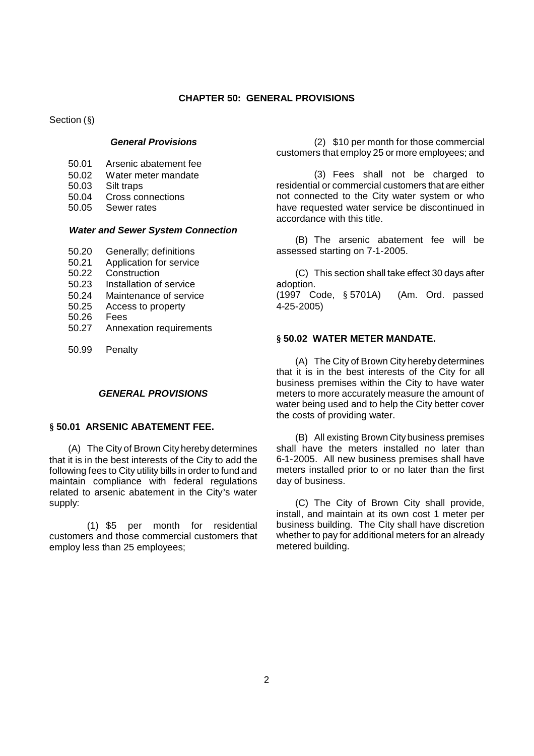#### **CHAPTER 50: GENERAL PROVISIONS**

Section (§)

## *General Provisions*

- 50.01 Arsenic abatement fee
- 50.02 Water meter mandate<br>50.03 Silt traps
- Silt traps
- 50.04 Cross connections
- 50.05 Sewer rates

### *Water and Sewer System Connection*

- 50.20 Generally; definitions
- 50.21 Application for service
- 50.22 Construction
- 50.23 Installation of service
- 50.24 Maintenance of service
- 50.25 Access to property
- 50.26 Fees
- 50.27 Annexation requirements
- 50.99 Penalty

### *GENERAL PROVISIONS*

### **§ 50.01 ARSENIC ABATEMENT FEE.**

(A) The City of Brown City hereby determines that it is in the best interests of the City to add the following fees to City utility bills in order to fund and maintain compliance with federal regulations related to arsenic abatement in the City's water supply:

(1) \$5 per month for residential customers and those commercial customers that employ less than 25 employees;

(2) \$10 per month for those commercial customers that employ 25 or more employees; and

(3) Fees shall not be charged to residential or commercial customers that are either not connected to the City water system or who have requested water service be discontinued in accordance with this title.

(B) The arsenic abatement fee will be assessed starting on 7-1-2005.

(C) This section shall take effect 30 days after adoption. (1997 Code, § 5701A) (Am. Ord. passed 4-25-2005)

### **§ 50.02 WATER METER MANDATE.**

(A) The City of Brown City hereby determines that it is in the best interests of the City for all business premises within the City to have water meters to more accurately measure the amount of water being used and to help the City better cover the costs of providing water.

(B) All existing Brown City business premises shall have the meters installed no later than 6-1-2005. All new business premises shall have meters installed prior to or no later than the first day of business.

(C) The City of Brown City shall provide, install, and maintain at its own cost 1 meter per business building. The City shall have discretion whether to pay for additional meters for an already metered building.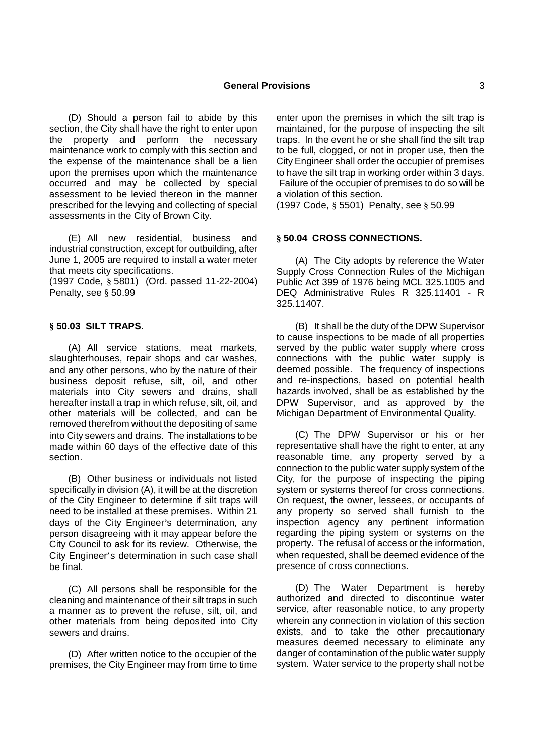(D) Should a person fail to abide by this section, the City shall have the right to enter upon the property and perform the necessary maintenance work to comply with this section and the expense of the maintenance shall be a lien upon the premises upon which the maintenance occurred and may be collected by special assessment to be levied thereon in the manner prescribed for the levying and collecting of special assessments in the City of Brown City.

(E) All new residential, business and industrial construction, except for outbuilding, after June 1, 2005 are required to install a water meter that meets city specifications.

(1997 Code, § 5801) (Ord. passed 11-22-2004) Penalty, see § 50.99

### **§ 50.03 SILT TRAPS.**

(A) All service stations, meat markets, slaughterhouses, repair shops and car washes, and any other persons, who by the nature of their business deposit refuse, silt, oil, and other materials into City sewers and drains, shall hereafter install a trap in which refuse, silt, oil, and other materials will be collected, and can be removed therefrom without the depositing of same into City sewers and drains. The installations to be made within 60 days of the effective date of this section.

(B) Other business or individuals not listed specifically in division (A), it will be at the discretion of the City Engineer to determine if silt traps will need to be installed at these premises. Within 21 days of the City Engineer's determination, any person disagreeing with it may appear before the City Council to ask for its review. Otherwise, the City Engineer's determination in such case shall be final.

(C) All persons shall be responsible for the cleaning and maintenance of their silt traps in such a manner as to prevent the refuse, silt, oil, and other materials from being deposited into City sewers and drains.

(D) After written notice to the occupier of the premises, the City Engineer may from time to time enter upon the premises in which the silt trap is maintained, for the purpose of inspecting the silt traps. In the event he or she shall find the silt trap to be full, clogged, or not in proper use, then the City Engineer shall order the occupier of premises to have the silt trap in working order within 3 days. Failure of the occupier of premises to do so will be a violation of this section.

(1997 Code, § 5501) Penalty, see § 50.99

### **§ 50.04 CROSS CONNECTIONS.**

(A) The City adopts by reference the Water Supply Cross Connection Rules of the Michigan Public Act 399 of 1976 being MCL 325.1005 and DEQ Administrative Rules R 325.11401 - R 325.11407.

(B) It shall be the duty of the DPW Supervisor to cause inspections to be made of all properties served by the public water supply where cross connections with the public water supply is deemed possible. The frequency of inspections and re-inspections, based on potential health hazards involved, shall be as established by the DPW Supervisor, and as approved by the Michigan Department of Environmental Quality.

(C) The DPW Supervisor or his or her representative shall have the right to enter, at any reasonable time, any property served by a connection to the public water supply system of the City, for the purpose of inspecting the piping system or systems thereof for cross connections. On request, the owner, lessees, or occupants of any property so served shall furnish to the inspection agency any pertinent information regarding the piping system or systems on the property. The refusal of access or the information, when requested, shall be deemed evidence of the presence of cross connections.

(D) The Water Department is hereby authorized and directed to discontinue water service, after reasonable notice, to any property wherein any connection in violation of this section exists, and to take the other precautionary measures deemed necessary to eliminate any danger of contamination of the public water supply system. Water service to the property shall not be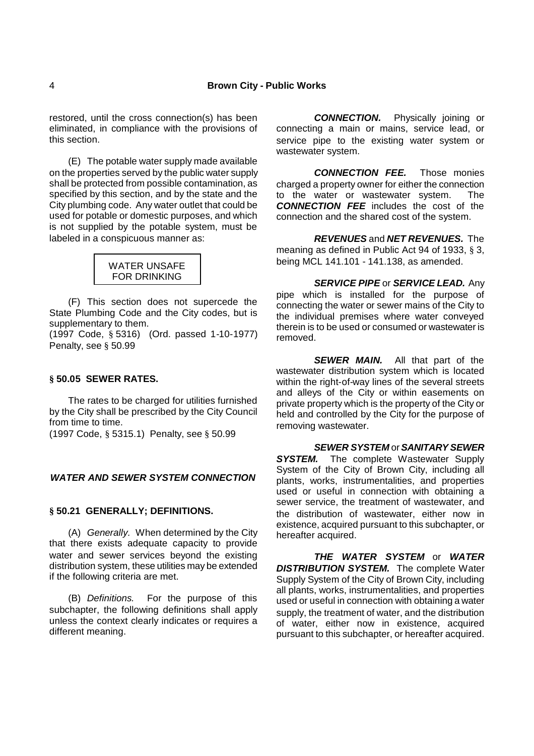restored, until the cross connection(s) has been eliminated, in compliance with the provisions of this section.

(E) The potable water supply made available on the properties served by the public water supply shall be protected from possible contamination, as specified by this section, and by the state and the City plumbing code. Any water outlet that could be used for potable or domestic purposes, and which is not supplied by the potable system, must be labeled in a conspicuous manner as:



(F) This section does not supercede the State Plumbing Code and the City codes, but is supplementary to them.

(1997 Code, § 5316) (Ord. passed 1-10-1977) Penalty, see § 50.99

## **§ 50.05 SEWER RATES.**

The rates to be charged for utilities furnished by the City shall be prescribed by the City Council from time to time.

(1997 Code, § 5315.1) Penalty, see § 50.99

## *WATER AND SEWER SYSTEM CONNECTION*

#### **§ 50.21 GENERALLY; DEFINITIONS.**

(A) *Generally.* When determined by the City that there exists adequate capacity to provide water and sewer services beyond the existing distribution system, these utilities may be extended if the following criteria are met.

(B) *Definitions.* For the purpose of this subchapter, the following definitions shall apply unless the context clearly indicates or requires a different meaning.

*CONNECTION.* Physically joining or connecting a main or mains, service lead, or service pipe to the existing water system or wastewater system.

*CONNECTION FEE.* Those monies charged a property owner for either the connection to the water or wastewater system. The *CONNECTION FEE* includes the cost of the connection and the shared cost of the system.

*REVENUES* and *NET REVENUES.* The meaning as defined in Public Act 94 of 1933, § 3, being MCL 141.101 - 141.138, as amended.

*SERVICE PIPE* or *SERVICE LEAD.* Any pipe which is installed for the purpose of connecting the water or sewer mains of the City to the individual premises where water conveyed therein is to be used or consumed or wastewater is removed.

*SEWER MAIN.* All that part of the wastewater distribution system which is located within the right-of-way lines of the several streets and alleys of the City or within easements on private property which is the property of the City or held and controlled by the City for the purpose of removing wastewater.

## *SEWER SYSTEM* or*SANITARY SEWER*

**SYSTEM.** The complete Wastewater Supply System of the City of Brown City, including all plants, works, instrumentalities, and properties used or useful in connection with obtaining a sewer service, the treatment of wastewater, and the distribution of wastewater, either now in existence, acquired pursuant to this subchapter, or hereafter acquired.

*THE WATER SYSTEM* or *WATER DISTRIBUTION SYSTEM.* The complete Water Supply System of the City of Brown City, including all plants, works, instrumentalities, and properties used or useful in connection with obtaining a water supply, the treatment of water, and the distribution of water, either now in existence, acquired pursuant to this subchapter, or hereafter acquired.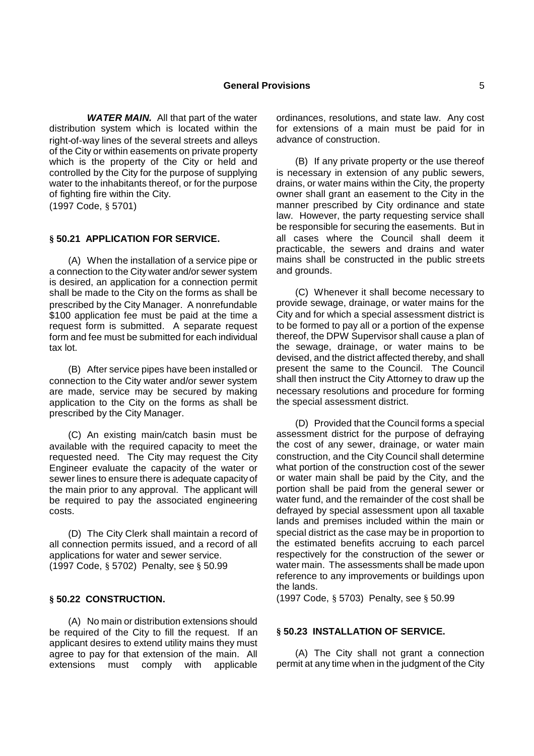*WATER MAIN.* All that part of the water distribution system which is located within the right-of-way lines of the several streets and alleys of the City or within easements on private property which is the property of the City or held and controlled by the City for the purpose of supplying water to the inhabitants thereof, or for the purpose of fighting fire within the City. (1997 Code, § 5701)

### **§ 50.21 APPLICATION FOR SERVICE.**

(A) When the installation of a service pipe or a connection to the City water and/or sewer system is desired, an application for a connection permit shall be made to the City on the forms as shall be prescribed by the City Manager. A nonrefundable \$100 application fee must be paid at the time a request form is submitted. A separate request form and fee must be submitted for each individual tax lot.

(B) After service pipes have been installed or connection to the City water and/or sewer system are made, service may be secured by making application to the City on the forms as shall be prescribed by the City Manager.

(C) An existing main/catch basin must be available with the required capacity to meet the requested need. The City may request the City Engineer evaluate the capacity of the water or sewer lines to ensure there is adequate capacity of the main prior to any approval. The applicant will be required to pay the associated engineering costs.

(D) The City Clerk shall maintain a record of all connection permits issued, and a record of all applications for water and sewer service. (1997 Code, § 5702) Penalty, see § 50.99

## **§ 50.22 CONSTRUCTION.**

(A) No main or distribution extensions should be required of the City to fill the request. If an applicant desires to extend utility mains they must agree to pay for that extension of the main. All extensions must comply with applicable ordinances, resolutions, and state law. Any cost for extensions of a main must be paid for in advance of construction.

(B) If any private property or the use thereof is necessary in extension of any public sewers, drains, or water mains within the City, the property owner shall grant an easement to the City in the manner prescribed by City ordinance and state law. However, the party requesting service shall be responsible for securing the easements. But in all cases where the Council shall deem it practicable, the sewers and drains and water mains shall be constructed in the public streets and grounds.

(C) Whenever it shall become necessary to provide sewage, drainage, or water mains for the City and for which a special assessment district is to be formed to pay all or a portion of the expense thereof, the DPW Supervisor shall cause a plan of the sewage, drainage, or water mains to be devised, and the district affected thereby, and shall present the same to the Council. The Council shall then instruct the City Attorney to draw up the necessary resolutions and procedure for forming the special assessment district.

(D) Provided that the Council forms a special assessment district for the purpose of defraying the cost of any sewer, drainage, or water main construction, and the City Council shall determine what portion of the construction cost of the sewer or water main shall be paid by the City, and the portion shall be paid from the general sewer or water fund, and the remainder of the cost shall be defrayed by special assessment upon all taxable lands and premises included within the main or special district as the case may be in proportion to the estimated benefits accruing to each parcel respectively for the construction of the sewer or water main. The assessments shall be made upon reference to any improvements or buildings upon the lands.

(1997 Code, § 5703) Penalty, see § 50.99

### **§ 50.23 INSTALLATION OF SERVICE.**

(A) The City shall not grant a connection permit at any time when in the judgment of the City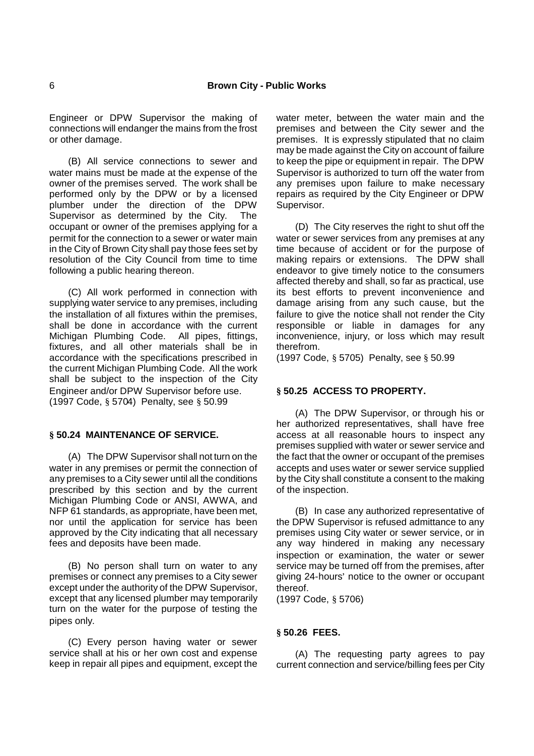Engineer or DPW Supervisor the making of connections will endanger the mains from the frost or other damage.

(B) All service connections to sewer and water mains must be made at the expense of the owner of the premises served. The work shall be performed only by the DPW or by a licensed plumber under the direction of the DPW Supervisor as determined by the City. The occupant or owner of the premises applying for a permit for the connection to a sewer or water main in the City of Brown City shall pay those fees set by resolution of the City Council from time to time following a public hearing thereon.

(C) All work performed in connection with supplying water service to any premises, including the installation of all fixtures within the premises, shall be done in accordance with the current Michigan Plumbing Code. All pipes, fittings, fixtures, and all other materials shall be in accordance with the specifications prescribed in the current Michigan Plumbing Code. All the work shall be subject to the inspection of the City Engineer and/or DPW Supervisor before use. (1997 Code, § 5704) Penalty, see § 50.99

## **§ 50.24 MAINTENANCE OF SERVICE.**

(A) The DPW Supervisor shall not turn on the water in any premises or permit the connection of any premises to a City sewer until all the conditions prescribed by this section and by the current Michigan Plumbing Code or ANSI, AWWA, and NFP 61 standards, as appropriate, have been met, nor until the application for service has been approved by the City indicating that all necessary fees and deposits have been made.

(B) No person shall turn on water to any premises or connect any premises to a City sewer except under the authority of the DPW Supervisor, except that any licensed plumber may temporarily turn on the water for the purpose of testing the pipes only.

(C) Every person having water or sewer service shall at his or her own cost and expense keep in repair all pipes and equipment, except the water meter, between the water main and the premises and between the City sewer and the premises. It is expressly stipulated that no claim may be made against the City on account of failure to keep the pipe or equipment in repair. The DPW Supervisor is authorized to turn off the water from any premises upon failure to make necessary repairs as required by the City Engineer or DPW Supervisor.

(D) The City reserves the right to shut off the water or sewer services from any premises at any time because of accident or for the purpose of making repairs or extensions. The DPW shall endeavor to give timely notice to the consumers affected thereby and shall, so far as practical, use its best efforts to prevent inconvenience and damage arising from any such cause, but the failure to give the notice shall not render the City responsible or liable in damages for any inconvenience, injury, or loss which may result therefrom.

(1997 Code, § 5705) Penalty, see § 50.99

## **§ 50.25 ACCESS TO PROPERTY.**

(A) The DPW Supervisor, or through his or her authorized representatives, shall have free access at all reasonable hours to inspect any premises supplied with water or sewer service and the fact that the owner or occupant of the premises accepts and uses water or sewer service supplied by the City shall constitute a consent to the making of the inspection.

(B) In case any authorized representative of the DPW Supervisor is refused admittance to any premises using City water or sewer service, or in any way hindered in making any necessary inspection or examination, the water or sewer service may be turned off from the premises, after giving 24-hours' notice to the owner or occupant thereof.

(1997 Code, § 5706)

#### **§ 50.26 FEES.**

(A) The requesting party agrees to pay current connection and service/billing fees per City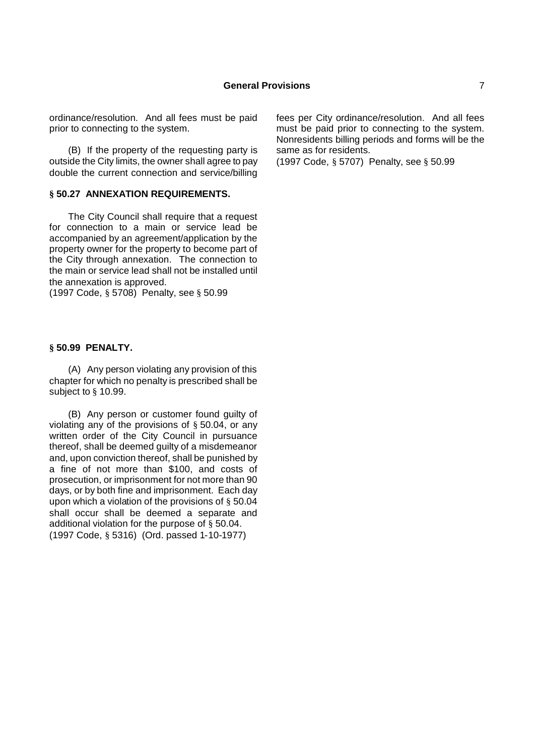ordinance/resolution. And all fees must be paid prior to connecting to the system.

(B) If the property of the requesting party is outside the City limits, the owner shall agree to pay double the current connection and service/billing

#### **§ 50.27 ANNEXATION REQUIREMENTS.**

The City Council shall require that a request for connection to a main or service lead be accompanied by an agreement/application by the property owner for the property to become part of the City through annexation. The connection to the main or service lead shall not be installed until the annexation is approved.

(1997 Code, § 5708) Penalty, see § 50.99

#### **§ 50.99 PENALTY.**

(A) Any person violating any provision of this chapter for which no penalty is prescribed shall be subject to § 10.99.

(B) Any person or customer found guilty of violating any of the provisions of § 50.04, or any written order of the City Council in pursuance thereof, shall be deemed guilty of a misdemeanor and, upon conviction thereof, shall be punished by a fine of not more than \$100, and costs of prosecution, or imprisonment for not more than 90 days, or by both fine and imprisonment. Each day upon which a violation of the provisions of § 50.04 shall occur shall be deemed a separate and additional violation for the purpose of § 50.04. (1997 Code, § 5316) (Ord. passed 1-10-1977)

fees per City ordinance/resolution. And all fees must be paid prior to connecting to the system. Nonresidents billing periods and forms will be the same as for residents.

(1997 Code, § 5707) Penalty, see § 50.99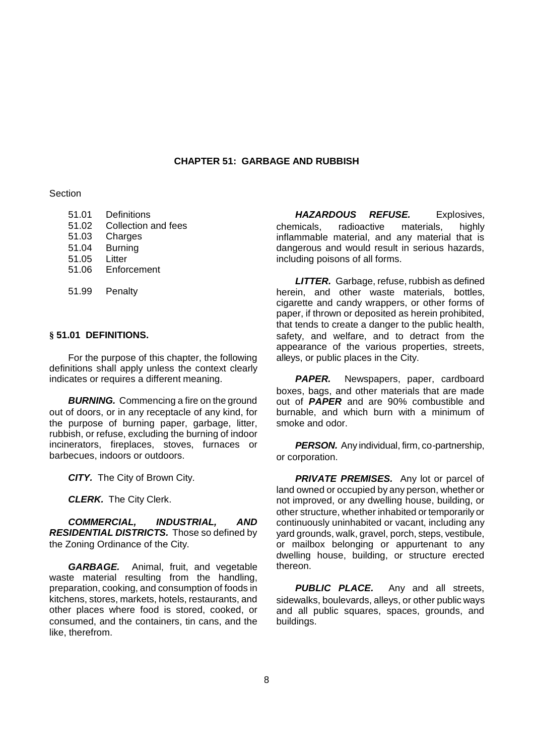### **CHAPTER 51: GARBAGE AND RUBBISH**

**Section** 

- 51.01 Definitions
- 51.02 Collection and fees
- 51.03 Charges
- 51.04 Burning
- 51.05 Litter
- 51.06 Enforcement
- 51.99 Penalty

#### **§ 51.01 DEFINITIONS.**

For the purpose of this chapter, the following definitions shall apply unless the context clearly indicates or requires a different meaning.

**BURNING.** Commencing a fire on the ground out of doors, or in any receptacle of any kind, for the purpose of burning paper, garbage, litter, rubbish, or refuse, excluding the burning of indoor incinerators, fireplaces, stoves, furnaces or barbecues, indoors or outdoors.

*CITY.* The City of Brown City.

*CLERK.* The City Clerk.

*COMMERCIAL, INDUSTRIAL, AND RESIDENTIAL DISTRICTS.* Those so defined by the Zoning Ordinance of the City.

*GARBAGE.* Animal, fruit, and vegetable waste material resulting from the handling, preparation, cooking, and consumption of foods in kitchens, stores, markets, hotels, restaurants, and other places where food is stored, cooked, or consumed, and the containers, tin cans, and the like, therefrom.

*HAZARDOUS REFUSE.* Explosives, chemicals, radioactive materials, highly inflammable material, and any material that is dangerous and would result in serious hazards, including poisons of all forms.

*LITTER.* Garbage, refuse, rubbish as defined herein, and other waste materials, bottles, cigarette and candy wrappers, or other forms of paper, if thrown or deposited as herein prohibited, that tends to create a danger to the public health, safety, and welfare, and to detract from the appearance of the various properties, streets, alleys, or public places in the City.

**PAPER.** Newspapers, paper, cardboard boxes, bags, and other materials that are made out of *PAPER* and are 90% combustible and burnable, and which burn with a minimum of smoke and odor.

**PERSON.** Any individual, firm, co-partnership, or corporation.

**PRIVATE PREMISES.** Any lot or parcel of land owned or occupied by any person, whether or not improved, or any dwelling house, building, or other structure, whether inhabited or temporarily or continuously uninhabited or vacant, including any yard grounds, walk, gravel, porch, steps, vestibule, or mailbox belonging or appurtenant to any dwelling house, building, or structure erected thereon.

**PUBLIC PLACE.** Any and all streets, sidewalks, boulevards, alleys, or other public ways and all public squares, spaces, grounds, and buildings.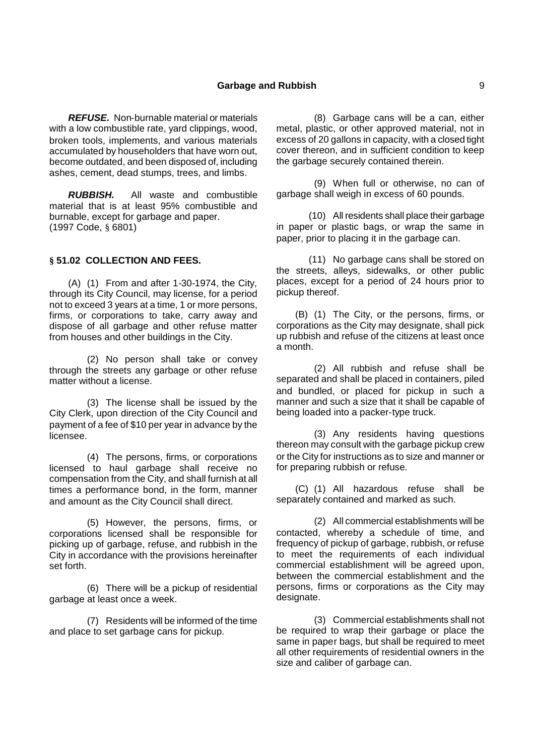*REFUSE.* Non-burnable material or materials with a low combustible rate, yard clippings, wood, broken tools, implements, and various materials accumulated by householders that have worn out, become outdated, and been disposed of, including ashes, cement, dead stumps, trees, and limbs.

*RUBBISH.* All waste and combustible material that is at least 95% combustible and burnable, except for garbage and paper. (1997 Code, § 6801)

## **§ 51.02 COLLECTION AND FEES.**

(A) (1) From and after 1-30-1974, the City, through its City Council, may license, for a period not to exceed 3 years at a time, 1 or more persons, firms, or corporations to take, carry away and dispose of all garbage and other refuse matter from houses and other buildings in the City.

(2) No person shall take or convey through the streets any garbage or other refuse matter without a license.

(3) The license shall be issued by the City Clerk, upon direction of the City Council and payment of a fee of \$10 per year in advance by the licensee.

(4) The persons, firms, or corporations licensed to haul garbage shall receive no compensation from the City, and shall furnish at all times a performance bond, in the form, manner and amount as the City Council shall direct.

(5) However, the persons, firms, or corporations licensed shall be responsible for picking up of garbage, refuse, and rubbish in the City in accordance with the provisions hereinafter set forth.

(6) There will be a pickup of residential garbage at least once a week.

(7) Residents will be informed of the time and place to set garbage cans for pickup.

(8) Garbage cans will be a can, either metal, plastic, or other approved material, not in excess of 20 gallons in capacity, with a closed tight cover thereon, and in sufficient condition to keep the garbage securely contained therein.

(9) When full or otherwise, no can of garbage shall weigh in excess of 60 pounds.

(10) All residents shall place their garbage in paper or plastic bags, or wrap the same in paper, prior to placing it in the garbage can.

(11) No garbage cans shall be stored on the streets, alleys, sidewalks, or other public places, except for a period of 24 hours prior to pickup thereof.

(B) (1) The City, or the persons, firms, or corporations as the City may designate, shall pick up rubbish and refuse of the citizens at least once a month.

(2) All rubbish and refuse shall be separated and shall be placed in containers, piled and bundled, or placed for pickup in such a manner and such a size that it shall be capable of being loaded into a packer-type truck.

(3) Any residents having questions thereon may consult with the garbage pickup crew or the City for instructions as to size and manner or for preparing rubbish or refuse.

(C) (1) All hazardous refuse shall be separately contained and marked as such.

(2) All commercial establishments will be contacted, whereby a schedule of time, and frequency of pickup of garbage, rubbish, or refuse to meet the requirements of each individual commercial establishment will be agreed upon, between the commercial establishment and the persons, firms or corporations as the City may designate.

(3) Commercial establishments shall not be required to wrap their garbage or place the same in paper bags, but shall be required to meet all other requirements of residential owners in the size and caliber of garbage can.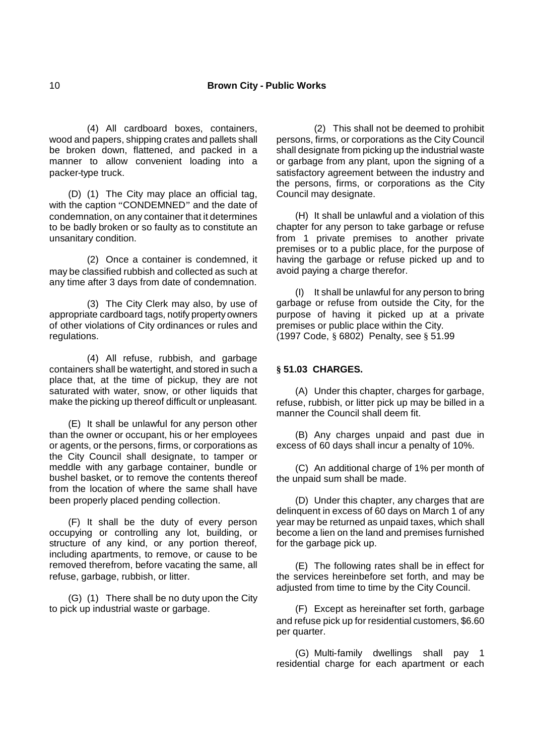(4) All cardboard boxes, containers, wood and papers, shipping crates and pallets shall be broken down, flattened, and packed in a manner to allow convenient loading into a packer-type truck.

(D) (1) The City may place an official tag, with the caption "CONDEMNED" and the date of condemnation, on any container that it determines to be badly broken or so faulty as to constitute an unsanitary condition.

(2) Once a container is condemned, it may be classified rubbish and collected as such at any time after 3 days from date of condemnation.

(3) The City Clerk may also, by use of appropriate cardboard tags, notify property owners of other violations of City ordinances or rules and regulations.

(4) All refuse, rubbish, and garbage containers shall be watertight, and stored in such a place that, at the time of pickup, they are not saturated with water, snow, or other liquids that make the picking up thereof difficult or unpleasant.

(E) It shall be unlawful for any person other than the owner or occupant, his or her employees or agents, or the persons, firms, or corporations as the City Council shall designate, to tamper or meddle with any garbage container, bundle or bushel basket, or to remove the contents thereof from the location of where the same shall have been properly placed pending collection.

(F) It shall be the duty of every person occupying or controlling any lot, building, or structure of any kind, or any portion thereof, including apartments, to remove, or cause to be removed therefrom, before vacating the same, all refuse, garbage, rubbish, or litter.

(G) (1) There shall be no duty upon the City to pick up industrial waste or garbage.

(2) This shall not be deemed to prohibit persons, firms, or corporations as the City Council shall designate from picking up the industrial waste or garbage from any plant, upon the signing of a satisfactory agreement between the industry and the persons, firms, or corporations as the City Council may designate.

(H) It shall be unlawful and a violation of this chapter for any person to take garbage or refuse from 1 private premises to another private premises or to a public place, for the purpose of having the garbage or refuse picked up and to avoid paying a charge therefor.

(I) It shall be unlawful for any person to bring garbage or refuse from outside the City, for the purpose of having it picked up at a private premises or public place within the City. (1997 Code, § 6802) Penalty, see § 51.99

## **§ 51.03 CHARGES.**

(A) Under this chapter, charges for garbage, refuse, rubbish, or litter pick up may be billed in a manner the Council shall deem fit.

(B) Any charges unpaid and past due in excess of 60 days shall incur a penalty of 10%.

(C) An additional charge of 1% per month of the unpaid sum shall be made.

(D) Under this chapter, any charges that are delinquent in excess of 60 days on March 1 of any year may be returned as unpaid taxes, which shall become a lien on the land and premises furnished for the garbage pick up.

(E) The following rates shall be in effect for the services hereinbefore set forth, and may be adjusted from time to time by the City Council.

(F) Except as hereinafter set forth, garbage and refuse pick up for residential customers, \$6.60 per quarter.

(G) Multi-family dwellings shall pay 1 residential charge for each apartment or each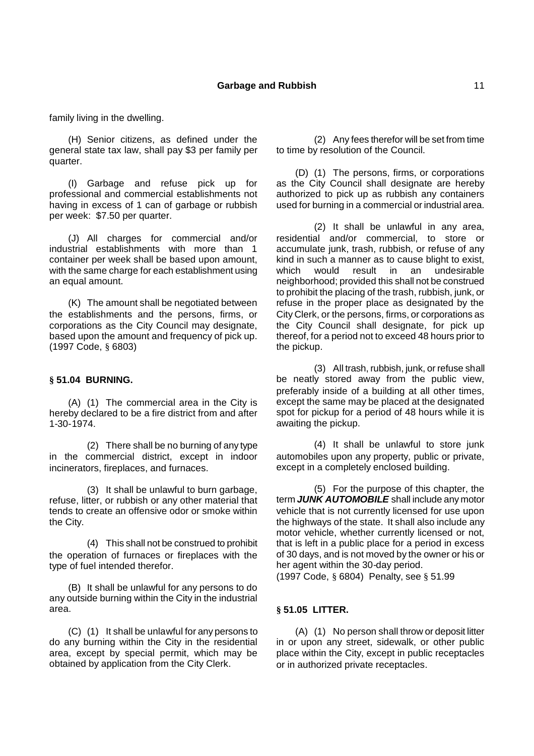family living in the dwelling.

(H) Senior citizens, as defined under the general state tax law, shall pay \$3 per family per quarter.

(I) Garbage and refuse pick up for professional and commercial establishments not having in excess of 1 can of garbage or rubbish per week: \$7.50 per quarter.

(J) All charges for commercial and/or industrial establishments with more than 1 container per week shall be based upon amount, with the same charge for each establishment using an equal amount.

(K) The amount shall be negotiated between the establishments and the persons, firms, or corporations as the City Council may designate, based upon the amount and frequency of pick up. (1997 Code, § 6803)

#### **§ 51.04 BURNING.**

(A) (1) The commercial area in the City is hereby declared to be a fire district from and after 1-30-1974.

(2) There shall be no burning of any type in the commercial district, except in indoor incinerators, fireplaces, and furnaces.

(3) It shall be unlawful to burn garbage, refuse, litter, or rubbish or any other material that tends to create an offensive odor or smoke within the City.

(4) This shall not be construed to prohibit the operation of furnaces or fireplaces with the type of fuel intended therefor.

(B) It shall be unlawful for any persons to do any outside burning within the City in the industrial area.

(C) (1) It shall be unlawful for any persons to do any burning within the City in the residential area, except by special permit, which may be obtained by application from the City Clerk.

(2) Any fees therefor will be set from time to time by resolution of the Council.

(D) (1) The persons, firms, or corporations as the City Council shall designate are hereby authorized to pick up as rubbish any containers used for burning in a commercial or industrial area.

(2) It shall be unlawful in any area, residential and/or commercial, to store or accumulate junk, trash, rubbish, or refuse of any kind in such a manner as to cause blight to exist, which would result in an undesirable neighborhood; provided this shall not be construed to prohibit the placing of the trash, rubbish, junk, or refuse in the proper place as designated by the City Clerk, or the persons, firms, or corporations as the City Council shall designate, for pick up thereof, for a period not to exceed 48 hours prior to the pickup.

(3) All trash, rubbish, junk, or refuse shall be neatly stored away from the public view, preferably inside of a building at all other times, except the same may be placed at the designated spot for pickup for a period of 48 hours while it is awaiting the pickup.

(4) It shall be unlawful to store junk automobiles upon any property, public or private, except in a completely enclosed building.

(5) For the purpose of this chapter, the term *JUNK AUTOMOBILE* shall include any motor vehicle that is not currently licensed for use upon the highways of the state. It shall also include any motor vehicle, whether currently licensed or not, that is left in a public place for a period in excess of 30 days, and is not moved by the owner or his or her agent within the 30-day period.

(1997 Code, § 6804) Penalty, see § 51.99

#### **§ 51.05 LITTER.**

(A) (1) No person shall throw or deposit litter in or upon any street, sidewalk, or other public place within the City, except in public receptacles or in authorized private receptacles.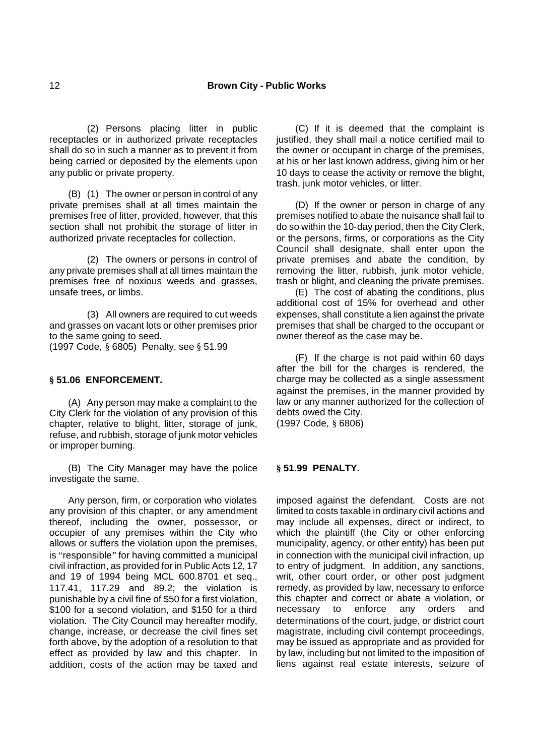(2) Persons placing litter in public receptacles or in authorized private receptacles shall do so in such a manner as to prevent it from being carried or deposited by the elements upon any public or private property.

(B) (1) The owner or person in control of any private premises shall at all times maintain the premises free of litter, provided, however, that this section shall not prohibit the storage of litter in authorized private receptacles for collection.

(2) The owners or persons in control of any private premises shall at all times maintain the premises free of noxious weeds and grasses, unsafe trees, or limbs.

(3) All owners are required to cut weeds and grasses on vacant lots or other premises prior to the same going to seed.

(1997 Code, § 6805) Penalty, see § 51.99

### **§ 51.06 ENFORCEMENT.**

(A) Any person may make a complaint to the City Clerk for the violation of any provision of this chapter, relative to blight, litter, storage of junk, refuse, and rubbish, storage of junk motor vehicles or improper burning.

(B) The City Manager may have the police investigate the same.

Any person, firm, or corporation who violates any provision of this chapter, or any amendment thereof, including the owner, possessor, or occupier of any premises within the City who allows or suffers the violation upon the premises, is "responsible" for having committed a municipal civil infraction, as provided for in Public Acts 12, 17 and 19 of 1994 being MCL 600.8701 et seq., 117.41, 117.29 and 89.2; the violation is punishable by a civil fine of \$50 for a first violation, \$100 for a second violation, and \$150 for a third violation. The City Council may hereafter modify, change, increase, or decrease the civil fines set forth above, by the adoption of a resolution to that effect as provided by law and this chapter. In addition, costs of the action may be taxed and

(C) If it is deemed that the complaint is justified, they shall mail a notice certified mail to the owner or occupant in charge of the premises, at his or her last known address, giving him or her 10 days to cease the activity or remove the blight, trash, junk motor vehicles, or litter.

(D) If the owner or person in charge of any premises notified to abate the nuisance shall fail to do so within the 10-day period, then the City Clerk, or the persons, firms, or corporations as the City Council shall designate, shall enter upon the private premises and abate the condition, by removing the litter, rubbish, junk motor vehicle, trash or blight, and cleaning the private premises.

(E) The cost of abating the conditions, plus additional cost of 15% for overhead and other expenses, shall constitute a lien against the private premises that shall be charged to the occupant or owner thereof as the case may be.

(F) If the charge is not paid within 60 days after the bill for the charges is rendered, the charge may be collected as a single assessment against the premises, in the manner provided by law or any manner authorized for the collection of debts owed the City. (1997 Code, § 6806)

### **§ 51.99 PENALTY.**

imposed against the defendant. Costs are not limited to costs taxable in ordinary civil actions and may include all expenses, direct or indirect, to which the plaintiff (the City or other enforcing municipality, agency, or other entity) has been put in connection with the municipal civil infraction, up to entry of judgment. In addition, any sanctions, writ, other court order, or other post judgment remedy, as provided by law, necessary to enforce this chapter and correct or abate a violation, or necessary to enforce any orders and determinations of the court, judge, or district court magistrate, including civil contempt proceedings, may be issued as appropriate and as provided for by law, including but not limited to the imposition of liens against real estate interests, seizure of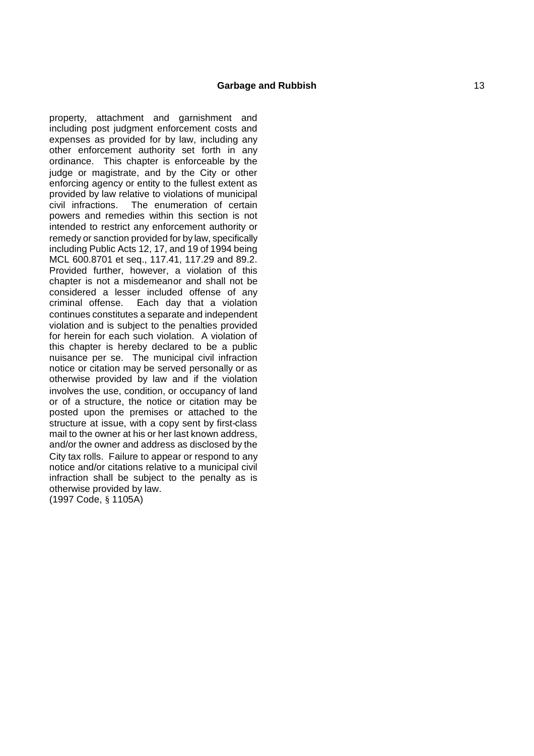property, attachment and garnishment and including post judgment enforcement costs and expenses as provided for by law, including any other enforcement authority set forth in any ordinance. This chapter is enforceable by the judge or magistrate, and by the City or other enforcing agency or entity to the fullest extent as provided by law relative to violations of municipal The enumeration of certain powers and remedies within this section is not intended to restrict any enforcement authority or remedy or sanction provided for by law, specifically including Public Acts 12, 17, and 19 of 1994 being MCL 600.8701 et seq., 117.41, 117.29 and 89.2. Provided further, however, a violation of this chapter is not a misdemeanor and shall not be considered a lesser included offense of any criminal offense. Each day that a violation continues constitutes a separate and independent violation and is subject to the penalties provided for herein for each such violation. A violation of this chapter is hereby declared to be a public nuisance per se. The municipal civil infraction notice or citation may be served personally or as otherwise provided by law and if the violation involves the use, condition, or occupancy of land or of a structure, the notice or citation may be posted upon the premises or attached to the structure at issue, with a copy sent by first -class mail to the owner at his or her last known address, and/or the owner and address as disclosed by the City tax rolls. Failure to appear or respond to any notice and/or citations relative to a municipal civil infraction shall be subject to the penalty as is otherwise provided by law. (1997 Code, § 1105A)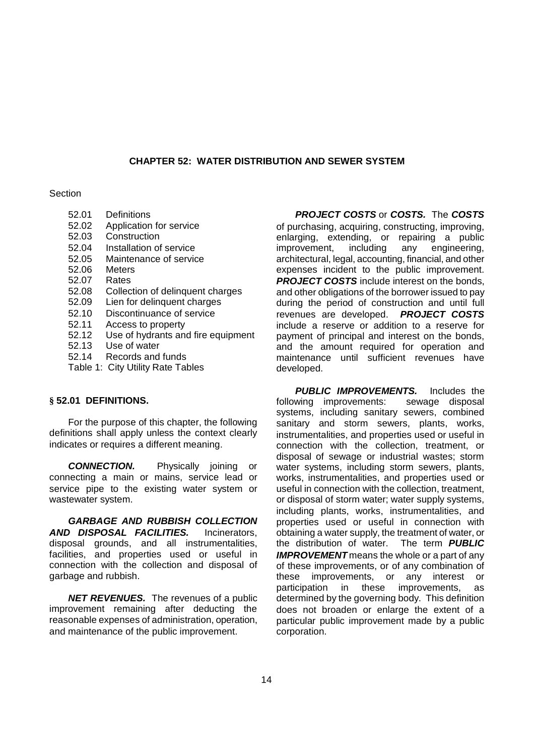### **CHAPTER 52: WATER DISTRIBUTION AND SEWER SYSTEM**

### **Section**

- 52.01 Definitions
- 52.02 Application for service
- 52.03 Construction
- 52.04 Installation of service
- 52.05 Maintenance of service
- 52.06 Meters<br>52.07 Rates
- 52.07 Rates<br>52.08 Collec
- 52.08 Collection of delinquent charges
- 52.09 Lien for delinquent charges
- 52.10 Discontinuance of service
- 52.11 Access to property
- 52.12 Use of hydrants and fire equipment
- 52.13 Use of water
- 52.14 Records and funds
- Table 1: City Utility Rate Tables

## **§ 52.01 DEFINITIONS.**

For the purpose of this chapter, the following definitions shall apply unless the context clearly indicates or requires a different meaning.

*CONNECTION.* Physically joining or connecting a main or mains, service lead or service pipe to the existing water system or wastewater system.

*GARBAGE AND RUBBISH COLLECTION AND DISPOSAL FACILITIES.* Incinerators, disposal grounds, and all instrumentalities, facilities, and properties used or useful in connection with the collection and disposal of garbage and rubbish.

*NET REVENUES.* The revenues of a public improvement remaining after deducting the reasonable expenses of administration, operation, and maintenance of the public improvement.

*PROJECT COSTS* or *COSTS.* The *COSTS* of purchasing, acquiring, constructing, improving, enlarging, extending, or repairing a public<br>improvement, including any engineering, improvement, including any engineering, architectural, legal, accounting, financial, and other expenses incident to the public improvement. **PROJECT COSTS** include interest on the bonds. and other obligations of the borrower issued to pay during the period of construction and until full revenues are developed. *PROJECT COSTS* include a reserve or addition to a reserve for payment of principal and interest on the bonds, and the amount required for operation and maintenance until sufficient revenues have developed.

*PUBLIC IMPROVEMENTS.* Includes the following improvements: sewage disposal systems, including sanitary sewers, combined sanitary and storm sewers, plants, works, instrumentalities, and properties used or useful in connection with the collection, treatment, or disposal of sewage or industrial wastes; storm water systems, including storm sewers, plants, works, instrumentalities, and properties used or useful in connection with the collection, treatment, or disposal of storm water; water supply systems, including plants, works, instrumentalities, and properties used or useful in connection with obtaining a water supply, the treatment of water, or the distribution of water. The term *PUBLIC IMPROVEMENT* means the whole or a part of any of these improvements, or of any combination of these improvements, or any interest or participation in these improvements, as determined by the governing body. This definition does not broaden or enlarge the extent of a particular public improvement made by a public corporation.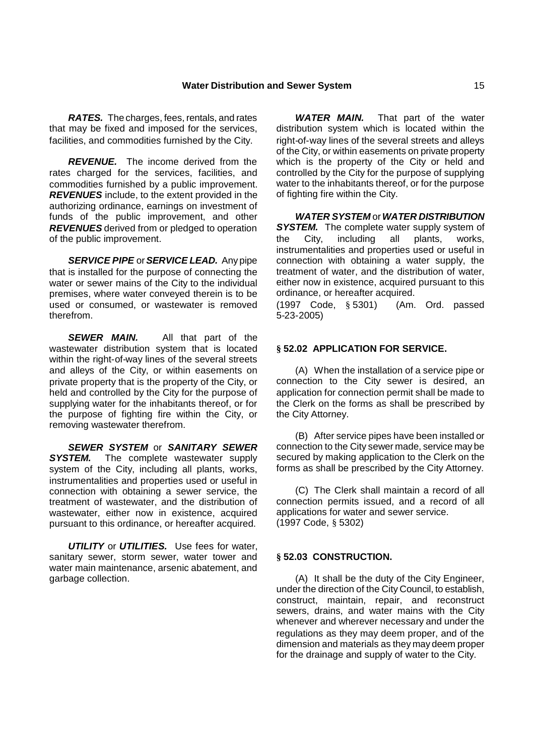*RATES.* The charges, fees, rentals, and rates that may be fixed and imposed for the services, facilities, and commodities furnished by the City.

*REVENUE.* The income derived from the rates charged for the services, facilities, and commodities furnished by a public improvement. *REVENUES* include, to the extent provided in the authorizing ordinance, earnings on investment of funds of the public improvement, and other *REVENUES* derived from or pledged to operation of the public improvement.

*SERVICE PIPE* or*SERVICE LEAD.* Any pipe that is installed for the purpose of connecting the water or sewer mains of the City to the individual premises, where water conveyed therein is to be used or consumed, or wastewater is removed therefrom.

**SEWER MAIN.** All that part of the wastewater distribution system that is located within the right-of-way lines of the several streets and alleys of the City, or within easements on private property that is the property of the City, or held and controlled by the City for the purpose of supplying water for the inhabitants thereof, or for the purpose of fighting fire within the City, or removing wastewater therefrom.

*SEWER SYSTEM* or *SANITARY SEWER* **SYSTEM.** The complete wastewater supply system of the City, including all plants, works, instrumentalities and properties used or useful in connection with obtaining a sewer service, the treatment of wastewater, and the distribution of wastewater, either now in existence, acquired pursuant to this ordinance, or hereafter acquired.

*UTILITY* or *UTILITIES.* Use fees for water, sanitary sewer, storm sewer, water tower and water main maintenance, arsenic abatement, and garbage collection.

*WATER MAIN.* That part of the water distribution system which is located within the right-of-way lines of the several streets and alleys of the City, or within easements on private property which is the property of the City or held and controlled by the City for the purpose of supplying water to the inhabitants thereof, or for the purpose of fighting fire within the City.

*WATER SYSTEM* or*WATER DISTRIBUTION* **SYSTEM.** The complete water supply system of the City, including all plants, works, instrumentalities and properties used or useful in connection with obtaining a water supply, the treatment of water, and the distribution of water, either now in existence, acquired pursuant to this ordinance, or hereafter acquired.

(1997 Code, § 5301) (Am. Ord. passed 5-23-2005)

## **§ 52.02 APPLICATION FOR SERVICE.**

(A) When the installation of a service pipe or connection to the City sewer is desired, an application for connection permit shall be made to the Clerk on the forms as shall be prescribed by the City Attorney.

(B) After service pipes have been installed or connection to the City sewer made, service may be secured by making application to the Clerk on the forms as shall be prescribed by the City Attorney.

(C) The Clerk shall maintain a record of all connection permits issued, and a record of all applications for water and sewer service. (1997 Code, § 5302)

### **§ 52.03 CONSTRUCTION.**

(A) It shall be the duty of the City Engineer, under the direction of the City Council, to establish, construct, maintain, repair, and reconstruct sewers, drains, and water mains with the City whenever and wherever necessary and under the regulations as they may deem proper, and of the dimension and materials as they may deem proper for the drainage and supply of water to the City.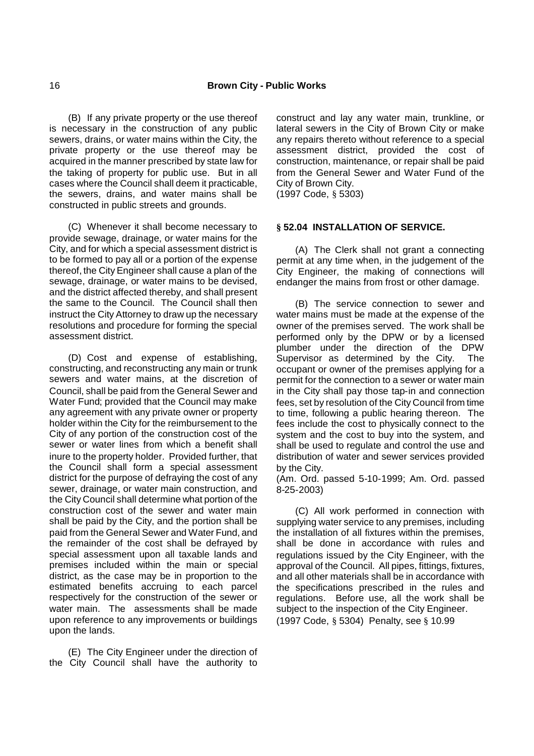(B) If any private property or the use thereof is necessary in the construction of any public sewers, drains, or water mains within the City, the private property or the use thereof may be acquired in the manner prescribed by state law for the taking of property for public use. But in all cases where the Council shall deem it practicable, the sewers, drains, and water mains shall be constructed in public streets and grounds.

(C) Whenever it shall become necessary to provide sewage, drainage, or water mains for the City, and for which a special assessment district is to be formed to pay all or a portion of the expense thereof, the City Engineer shall cause a plan of the sewage, drainage, or water mains to be devised, and the district affected thereby, and shall present the same to the Council. The Council shall then instruct the City Attorney to draw up the necessary resolutions and procedure for forming the special assessment district.

(D) Cost and expense of establishing, constructing, and reconstructing any main or trunk sewers and water mains, at the discretion of Council, shall be paid from the General Sewer and Water Fund; provided that the Council may make any agreement with any private owner or property holder within the City for the reimbursement to the City of any portion of the construction cost of the sewer or water lines from which a benefit shall inure to the property holder. Provided further, that the Council shall form a special assessment district for the purpose of defraying the cost of any sewer, drainage, or water main construction, and the City Council shall determine what portion of the construction cost of the sewer and water main shall be paid by the City, and the portion shall be paid from the General Sewer and Water Fund, and the remainder of the cost shall be defrayed by special assessment upon all taxable lands and premises included within the main or special district, as the case may be in proportion to the estimated benefits accruing to each parcel respectively for the construction of the sewer or water main. The assessments shall be made upon reference to any improvements or buildings upon the lands.

(E) The City Engineer under the direction of the City Council shall have the authority to construct and lay any water main, trunkline, or lateral sewers in the City of Brown City or make any repairs thereto without reference to a special assessment district, provided the cost of construction, maintenance, or repair shall be paid from the General Sewer and Water Fund of the City of Brown City.

(1997 Code, § 5303)

## **§ 52.04 INSTALLATION OF SERVICE.**

(A) The Clerk shall not grant a connecting permit at any time when, in the judgement of the City Engineer, the making of connections will endanger the mains from frost or other damage.

(B) The service connection to sewer and water mains must be made at the expense of the owner of the premises served. The work shall be performed only by the DPW or by a licensed plumber under the direction of the DPW Supervisor as determined by the City. The occupant or owner of the premises applying for a permit for the connection to a sewer or water main in the City shall pay those tap-in and connection fees, set by resolution of the City Council from time to time, following a public hearing thereon. The fees include the cost to physically connect to the system and the cost to buy into the system, and shall be used to regulate and control the use and distribution of water and sewer services provided by the City.

(Am. Ord. passed 5-10-1999; Am. Ord. passed 8-25-2003)

(C) All work performed in connection with supplying water service to any premises, including the installation of all fixtures within the premises, shall be done in accordance with rules and regulations issued by the City Engineer, with the approval of the Council. All pipes, fittings, fixtures, and all other materials shall be in accordance with the specifications prescribed in the rules and regulations. Before use, all the work shall be subject to the inspection of the City Engineer. (1997 Code, § 5304) Penalty, see § 10.99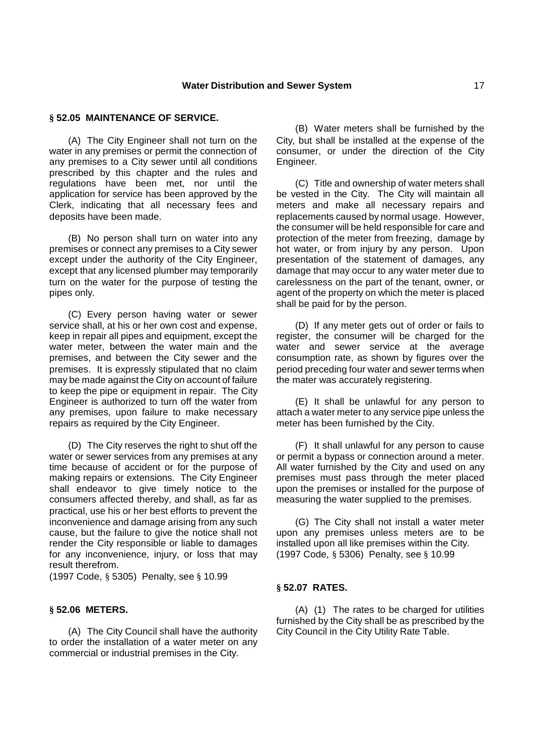#### **§ 52.05 MAINTENANCE OF SERVICE.**

(A) The City Engineer shall not turn on the water in any premises or permit the connection of any premises to a City sewer until all conditions prescribed by this chapter and the rules and regulations have been met, nor until the application for service has been approved by the Clerk, indicating that all necessary fees and deposits have been made.

(B) No person shall turn on water into any premises or connect any premises to a City sewer except under the authority of the City Engineer, except that any licensed plumber may temporarily turn on the water for the purpose of testing the pipes only.

(C) Every person having water or sewer service shall, at his or her own cost and expense, keep in repair all pipes and equipment, except the water meter, between the water main and the premises, and between the City sewer and the premises. It is expressly stipulated that no claim may be made against the City on account of failure to keep the pipe or equipment in repair. The City Engineer is authorized to turn off the water from any premises, upon failure to make necessary repairs as required by the City Engineer.

(D) The City reserves the right to shut off the water or sewer services from any premises at any time because of accident or for the purpose of making repairs or extensions. The City Engineer shall endeavor to give timely notice to the consumers affected thereby, and shall, as far as practical, use his or her best efforts to prevent the inconvenience and damage arising from any such cause, but the failure to give the notice shall not render the City responsible or liable to damages for any inconvenience, injury, or loss that may result therefrom.

(1997 Code, § 5305) Penalty, see § 10.99

#### **§ 52.06 METERS.**

(A) The City Council shall have the authority to order the installation of a water meter on any commercial or industrial premises in the City.

(B) Water meters shall be furnished by the City, but shall be installed at the expense of the consumer, or under the direction of the City Engineer.

(C) Title and ownership of water meters shall be vested in the City. The City will maintain all meters and make all necessary repairs and replacements caused by normal usage. However, the consumer will be held responsible for care and protection of the meter from freezing, damage by hot water, or from injury by any person. Upon presentation of the statement of damages, any damage that may occur to any water meter due to carelessness on the part of the tenant, owner, or agent of the property on which the meter is placed shall be paid for by the person.

(D) If any meter gets out of order or fails to register, the consumer will be charged for the water and sewer service at the average consumption rate, as shown by figures over the period preceding four water and sewer terms when the mater was accurately registering.

(E) It shall be unlawful for any person to attach a water meter to any service pipe unless the meter has been furnished by the City.

(F) It shall unlawful for any person to cause or permit a bypass or connection around a meter. All water furnished by the City and used on any premises must pass through the meter placed upon the premises or installed for the purpose of measuring the water supplied to the premises.

(G) The City shall not install a water meter upon any premises unless meters are to be installed upon all like premises within the City. (1997 Code, § 5306) Penalty, see § 10.99

#### **§ 52.07 RATES.**

(A) (1) The rates to be charged for utilities furnished by the City shall be as prescribed by the City Council in the City Utility Rate Table.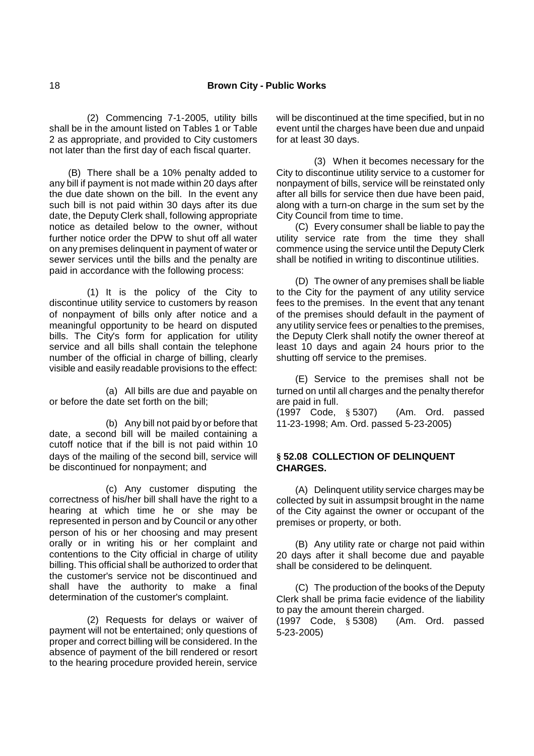(2) Commencing 7-1-2005, utility bills shall be in the amount listed on Tables 1 or Table 2 as appropriate, and provided to City customers not later than the first day of each fiscal quarter.

(B) There shall be a 10% penalty added to any bill if payment is not made within 20 days after the due date shown on the bill. In the event any such bill is not paid within 30 days after its due date, the Deputy Clerk shall, following appropriate notice as detailed below to the owner, without further notice order the DPW to shut off all water on any premises delinquent in payment of water or sewer services until the bills and the penalty are paid in accordance with the following process:

(1) It is the policy of the City to discontinue utility service to customers by reason of nonpayment of bills only after notice and a meaningful opportunity to be heard on disputed bills. The City's form for application for utility service and all bills shall contain the telephone number of the official in charge of billing, clearly visible and easily readable provisions to the effect:

(a) All bills are due and payable on or before the date set forth on the bill;

(b) Any bill not paid by or before that date, a second bill will be mailed containing a cutoff notice that if the bill is not paid within 10 days of the mailing of the second bill, service will be discontinued for nonpayment; and

(c) Any customer disputing the correctness of his/her bill shall have the right to a hearing at which time he or she may be represented in person and by Council or any other person of his or her choosing and may present orally or in writing his or her complaint and contentions to the City official in charge of utility billing. This official shall be authorized to order that the customer's service not be discontinued and shall have the authority to make a final determination of the customer's complaint.

(2) Requests for delays or waiver of payment will not be entertained; only questions of proper and correct billing will be considered. In the absence of payment of the bill rendered or resort to the hearing procedure provided herein, service

will be discontinued at the time specified, but in no event until the charges have been due and unpaid for at least 30 days.

(3) When it becomes necessary for the City to discontinue utility service to a customer for nonpayment of bills, service will be reinstated only after all bills for service then due have been paid, along with a turn-on charge in the sum set by the City Council from time to time.

(C) Every consumer shall be liable to pay the utility service rate from the time they shall commence using the service until the Deputy Clerk shall be notified in writing to discontinue utilities.

(D) The owner of any premises shall be liable to the City for the payment of any utility service fees to the premises. In the event that any tenant of the premises should default in the payment of any utility service fees or penalties to the premises, the Deputy Clerk shall notify the owner thereof at least 10 days and again 24 hours prior to the shutting off service to the premises.

(E) Service to the premises shall not be turned on until all charges and the penalty therefor are paid in full.

(1997 Code, § 5307) (Am. Ord. passed 11-23-1998; Am. Ord. passed 5-23-2005)

## **§ 52.08 COLLECTION OF DELINQUENT CHARGES.**

(A) Delinquent utility service charges may be collected by suit in assumpsit brought in the name of the City against the owner or occupant of the premises or property, or both.

(B) Any utility rate or charge not paid within 20 days after it shall become due and payable shall be considered to be delinquent.

(C) The production of the books of the Deputy Clerk shall be prima facie evidence of the liability to pay the amount therein charged.

(1997 Code, § 5308) (Am. Ord. passed 5-23-2005)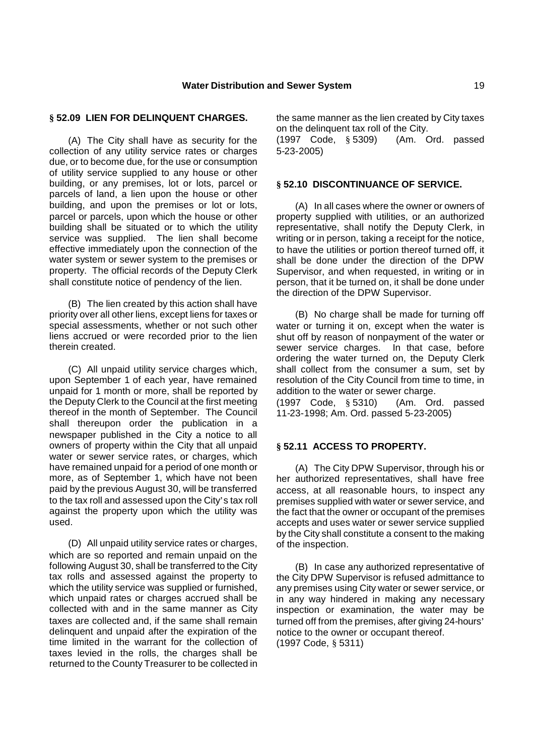### **§ 52.09 LIEN FOR DELINQUENT CHARGES.**

(A) The City shall have as security for the collection of any utility service rates or charges due, or to become due, for the use or consumption of utility service supplied to any house or other building, or any premises, lot or lots, parcel or parcels of land, a lien upon the house or other building, and upon the premises or lot or lots, parcel or parcels, upon which the house or other building shall be situated or to which the utility service was supplied. The lien shall become effective immediately upon the connection of the water system or sewer system to the premises or property. The official records of the Deputy Clerk shall constitute notice of pendency of the lien.

(B) The lien created by this action shall have priority over all other liens, except liens for taxes or special assessments, whether or not such other liens accrued or were recorded prior to the lien therein created.

(C) All unpaid utility service charges which, upon September 1 of each year, have remained unpaid for 1 month or more, shall be reported by the Deputy Clerk to the Council at the first meeting thereof in the month of September. The Council shall thereupon order the publication in a newspaper published in the City a notice to all owners of property within the City that all unpaid water or sewer service rates, or charges, which have remained unpaid for a period of one month or more, as of September 1, which have not been paid by the previous August 30, will be transferred to the tax roll and assessed upon the City's tax roll against the property upon which the utility was used.

(D) All unpaid utility service rates or charges, which are so reported and remain unpaid on the following August 30, shall be transferred to the City tax rolls and assessed against the property to which the utility service was supplied or furnished, which unpaid rates or charges accrued shall be collected with and in the same manner as City taxes are collected and, if the same shall remain delinquent and unpaid after the expiration of the time limited in the warrant for the collection of taxes levied in the rolls, the charges shall be returned to the County Treasurer to be collected in

the same manner as the lien created by City taxes on the delinquent tax roll of the City.

(1997 Code, § 5309) (Am. Ord. passed 5-23-2005)

#### **§ 52.10 DISCONTINUANCE OF SERVICE.**

(A) In all cases where the owner or owners of property supplied with utilities, or an authorized representative, shall notify the Deputy Clerk, in writing or in person, taking a receipt for the notice, to have the utilities or portion thereof turned off, it shall be done under the direction of the DPW Supervisor, and when requested, in writing or in person, that it be turned on, it shall be done under the direction of the DPW Supervisor.

(B) No charge shall be made for turning off water or turning it on, except when the water is shut off by reason of nonpayment of the water or sewer service charges. In that case, before ordering the water turned on, the Deputy Clerk shall collect from the consumer a sum, set by resolution of the City Council from time to time, in addition to the water or sewer charge.

(1997 Code, § 5310) (Am. Ord. passed 11-23-1998; Am. Ord. passed 5-23-2005)

## **§ 52.11 ACCESS TO PROPERTY.**

(A) The City DPW Supervisor, through his or her authorized representatives, shall have free access, at all reasonable hours, to inspect any premises supplied with water or sewer service, and the fact that the owner or occupant of the premises accepts and uses water or sewer service supplied by the City shall constitute a consent to the making of the inspection.

(B) In case any authorized representative of the City DPW Supervisor is refused admittance to any premises using City water or sewer service, or in any way hindered in making any necessary inspection or examination, the water may be turned off from the premises, after giving 24-hours' notice to the owner or occupant thereof. (1997 Code, § 5311)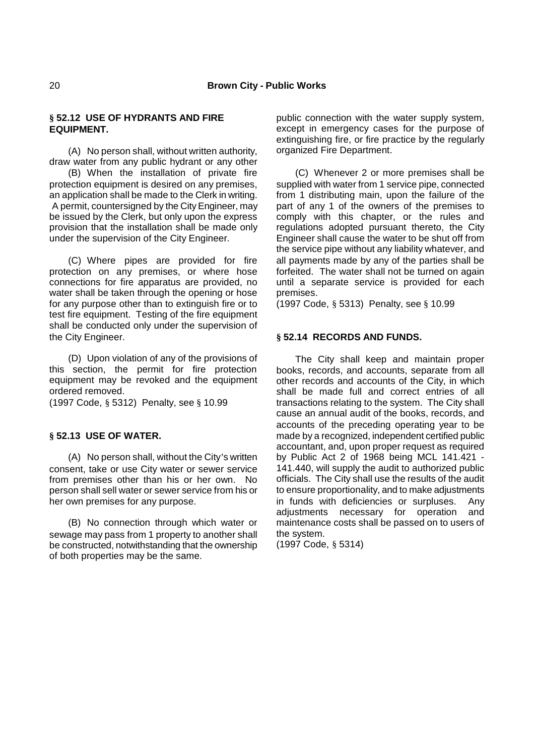## **§ 52.12 USE OF HYDRANTS AND FIRE EQUIPMENT.**

(A) No person shall, without written authority, draw water from any public hydrant or any other

(B) When the installation of private fire protection equipment is desired on any premises, an application shall be made to the Clerk in writing. A permit, countersigned by the City Engineer, may be issued by the Clerk, but only upon the express provision that the installation shall be made only under the supervision of the City Engineer.

(C) Where pipes are provided for fire protection on any premises, or where hose connections for fire apparatus are provided, no water shall be taken through the opening or hose for any purpose other than to extinguish fire or to test fire equipment. Testing of the fire equipment shall be conducted only under the supervision of the City Engineer.

(D) Upon violation of any of the provisions of this section, the permit for fire protection equipment may be revoked and the equipment ordered removed.

(1997 Code, § 5312) Penalty, see § 10.99

### **§ 52.13 USE OF WATER.**

(A) No person shall, without the City's written consent, take or use City water or sewer service from premises other than his or her own. No person shall sell water or sewer service from his or her own premises for any purpose.

(B) No connection through which water or sewage may pass from 1 property to another shall be constructed, notwithstanding that the ownership of both properties may be the same.

public connection with the water supply system, except in emergency cases for the purpose of extinguishing fire, or fire practice by the regularly organized Fire Department.

(C) Whenever 2 or more premises shall be supplied with water from 1 service pipe, connected from 1 distributing main, upon the failure of the part of any 1 of the owners of the premises to comply with this chapter, or the rules and regulations adopted pursuant thereto, the City Engineer shall cause the water to be shut off from the service pipe without any liability whatever, and all payments made by any of the parties shall be forfeited. The water shall not be turned on again until a separate service is provided for each premises.

(1997 Code, § 5313) Penalty, see § 10.99

### **§ 52.14 RECORDS AND FUNDS.**

The City shall keep and maintain proper books, records, and accounts, separate from all other records and accounts of the City, in which shall be made full and correct entries of all transactions relating to the system. The City shall cause an annual audit of the books, records, and accounts of the preceding operating year to be made by a recognized, independent certified public accountant, and, upon proper request as required by Public Act 2 of 1968 being MCL 141.421 - 141.440, will supply the audit to authorized public officials. The City shall use the results of the audit to ensure proportionality, and to make adjustments in funds with deficiencies or surpluses. Any adjustments necessary for operation and maintenance costs shall be passed on to users of the system.

(1997 Code, § 5314)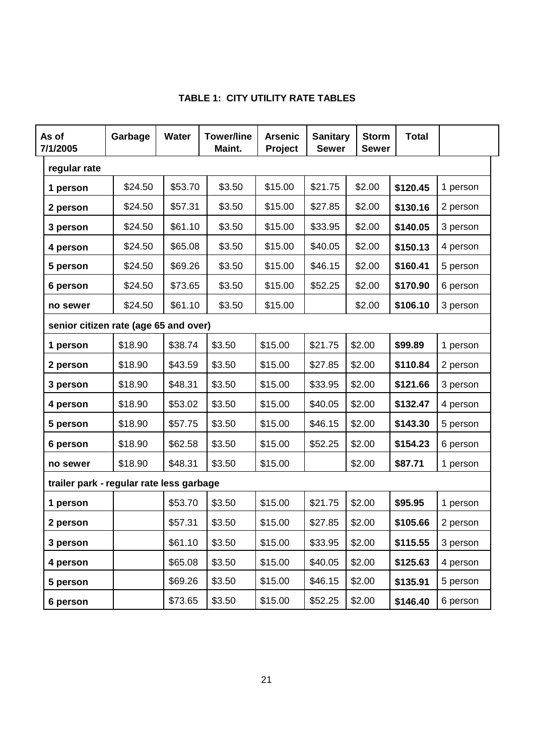| <b>TABLE 1: CITY UTILITY RATE TABLES</b> |  |  |  |  |
|------------------------------------------|--|--|--|--|
|------------------------------------------|--|--|--|--|

| As of<br>7/1/2005                        |  | Garbage | Water   | <b>Tower/line</b><br>Maint. | <b>Arsenic</b><br>Project | <b>Sanitary</b><br><b>Sewer</b> | <b>Storm</b><br><b>Sewer</b> | <b>Total</b> |          |
|------------------------------------------|--|---------|---------|-----------------------------|---------------------------|---------------------------------|------------------------------|--------------|----------|
| regular rate                             |  |         |         |                             |                           |                                 |                              |              |          |
| 1 person                                 |  | \$24.50 | \$53.70 | \$3.50                      | \$15.00                   | \$21.75                         | \$2.00                       | \$120.45     | 1 person |
| 2 person                                 |  | \$24.50 | \$57.31 | \$3.50                      | \$15.00                   | \$27.85                         | \$2.00                       | \$130.16     | 2 person |
| 3 person                                 |  | \$24.50 | \$61.10 | \$3.50                      | \$15.00                   | \$33.95                         | \$2.00                       | \$140.05     | 3 person |
| 4 person                                 |  | \$24.50 | \$65.08 | \$3.50                      | \$15.00                   | \$40.05                         | \$2.00                       | \$150.13     | 4 person |
| 5 person                                 |  | \$24.50 | \$69.26 | \$3.50                      | \$15.00                   | \$46.15                         | \$2.00                       | \$160.41     | 5 person |
| 6 person                                 |  | \$24.50 | \$73.65 | \$3.50                      | \$15.00                   | \$52.25                         | \$2.00                       | \$170.90     | 6 person |
| no sewer                                 |  | \$24.50 | \$61.10 | \$3.50                      | \$15.00                   |                                 | \$2.00                       | \$106.10     | 3 person |
| senior citizen rate (age 65 and over)    |  |         |         |                             |                           |                                 |                              |              |          |
| 1 person                                 |  | \$18.90 | \$38.74 | \$3.50                      | \$15.00                   | \$21.75                         | \$2.00                       | \$99.89      | 1 person |
| 2 person                                 |  | \$18.90 | \$43.59 | \$3.50                      | \$15.00                   | \$27.85                         | \$2.00                       | \$110.84     | 2 person |
| 3 person                                 |  | \$18.90 | \$48.31 | \$3.50                      | \$15.00                   | \$33.95                         | \$2.00                       | \$121.66     | 3 person |
| 4 person                                 |  | \$18.90 | \$53.02 | \$3.50                      | \$15.00                   | \$40.05                         | \$2.00                       | \$132.47     | 4 person |
| 5 person                                 |  | \$18.90 | \$57.75 | \$3.50                      | \$15.00                   | \$46.15                         | \$2.00                       | \$143.30     | 5 person |
| 6 person                                 |  | \$18.90 | \$62.58 | \$3.50                      | \$15.00                   | \$52.25                         | \$2.00                       | \$154.23     | 6 person |
| no sewer                                 |  | \$18.90 | \$48.31 | \$3.50                      | \$15.00                   |                                 | \$2.00                       | \$87.71      | 1 person |
| trailer park - regular rate less garbage |  |         |         |                             |                           |                                 |                              |              |          |
| 1 person                                 |  |         | \$53.70 | \$3.50                      | \$15.00                   | \$21.75                         | \$2.00                       | \$95.95      | 1 person |
| 2 person                                 |  |         | \$57.31 | \$3.50                      | \$15.00                   | \$27.85                         | \$2.00                       | \$105.66     | 2 person |
| 3 person                                 |  |         | \$61.10 | \$3.50                      | \$15.00                   | \$33.95                         | \$2.00                       | \$115.55     | 3 person |
| 4 person                                 |  |         | \$65.08 | \$3.50                      | \$15.00                   | \$40.05                         | \$2.00                       | \$125.63     | 4 person |
| 5 person                                 |  |         | \$69.26 | \$3.50                      | \$15.00                   | \$46.15                         | \$2.00                       | \$135.91     | 5 person |
| 6 person                                 |  |         | \$73.65 | \$3.50                      | \$15.00                   | \$52.25                         | \$2.00                       | \$146.40     | 6 person |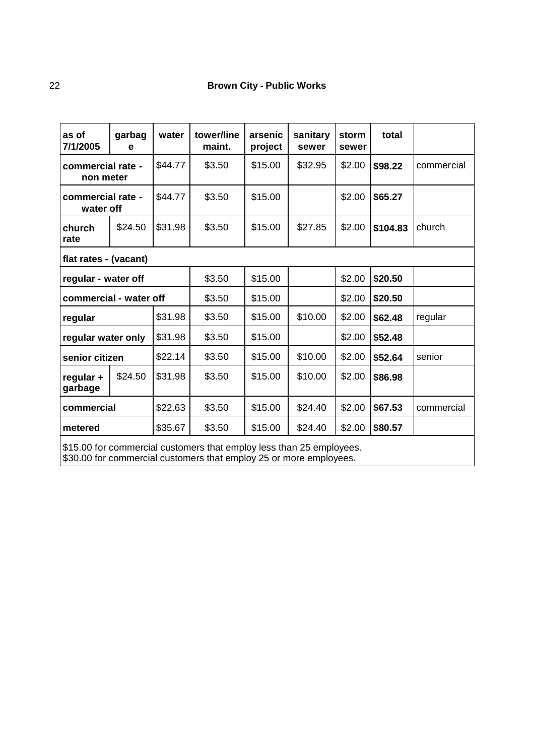| garbag<br>е                    | water   | tower/line<br>maint.                     | arsenic<br>project         | sanitary<br>sewer | storm<br>sewer | total                                                                                                                                                                                                                           |            |  |
|--------------------------------|---------|------------------------------------------|----------------------------|-------------------|----------------|---------------------------------------------------------------------------------------------------------------------------------------------------------------------------------------------------------------------------------|------------|--|
| commercial rate -<br>non meter |         | \$3.50                                   | \$15.00                    | \$32.95           | \$2.00         | \$98.22                                                                                                                                                                                                                         | commercial |  |
| commercial rate -<br>water off |         | \$3.50                                   | \$15.00                    |                   | \$2.00         | \$65.27                                                                                                                                                                                                                         |            |  |
| \$24.50                        | \$31.98 | \$3.50                                   | \$15.00                    | \$27.85           | \$2.00         | \$104.83                                                                                                                                                                                                                        | church     |  |
| flat rates - (vacant)          |         |                                          |                            |                   |                |                                                                                                                                                                                                                                 |            |  |
| regular - water off            |         |                                          | \$15.00                    |                   | \$2.00         | \$20.50                                                                                                                                                                                                                         |            |  |
| commercial - water off         |         |                                          | \$15.00                    |                   | \$2.00         | \$20.50                                                                                                                                                                                                                         |            |  |
| \$31.98<br>regular             |         |                                          | \$15.00                    | \$10.00           | \$2.00         | \$62.48                                                                                                                                                                                                                         | regular    |  |
| \$31.98<br>regular water only  |         | \$3.50                                   | \$15.00                    |                   | \$2.00         | \$52.48                                                                                                                                                                                                                         |            |  |
| senior citizen                 |         | \$3.50                                   | \$15.00                    | \$10.00           | \$2.00         | \$52.64                                                                                                                                                                                                                         | senior     |  |
| \$24.50                        | \$31.98 | \$3.50                                   | \$15.00                    | \$10.00           | \$2.00         | \$86.98                                                                                                                                                                                                                         |            |  |
| \$22.63<br>commercial          |         | \$3.50                                   | \$15.00                    | \$24.40           | \$2.00         | \$67.53                                                                                                                                                                                                                         | commercial |  |
| metered                        |         | \$3.50                                   | \$15.00                    | \$24.40           | \$2.00         | \$80.57                                                                                                                                                                                                                         |            |  |
|                                |         | \$44.77<br>\$44.77<br>\$22.14<br>\$35.67 | \$3.50<br>\$3.50<br>\$3.50 |                   |                | $\sim$ . The set of the set of the set of the set of the set of the set of the set of the set of the set of the set of the set of the set of the set of the set of the set of the set of the set of the set of the set of the s |            |  |

\$15.00 for commercial customers that employ less than 25 employees.

\$30.00 for commercial customers that employ 25 or more employees.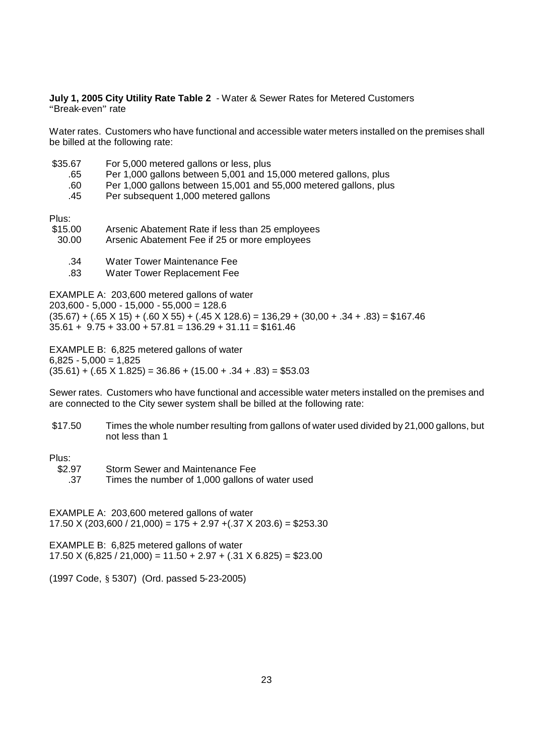**July 1, 2005 City Utility Rate Table 2** - Water & Sewer Rates for Metered Customers "Break-even" rate

Water rates. Customers who have functional and accessible water meters installed on the premises shall be billed at the following rate:

- \$35.67 For 5,000 metered gallons or less, plus
	- .65 Per 1,000 gallons between 5,001 and 15,000 metered gallons, plus
	- .60 Per 1,000 gallons between 15,001 and 55,000 metered gallons, plus
	- .45 Per subsequent 1,000 metered gallons

Plus:

- \$15.00 Arsenic Abatement Rate if less than 25 employees
- 30.00 Arsenic Abatement Fee if 25 or more employees
	- .34 Water Tower Maintenance Fee
	- .83 Water Tower Replacement Fee

EXAMPLE A: 203,600 metered gallons of water 203,600 - 5,000 - 15,000 - 55,000 = 128.6  $(35.67) + (.65 \times 15) + (.60 \times 55) + (.45 \times 128.6) = 136,29 + (30,00 + .34 + .83) = $167.46$  $35.61 + 9.75 + 33.00 + 57.81 = 136.29 + 31.11 = $161.46$ 

EXAMPLE B: 6,825 metered gallons of water  $6.825 - 5.000 = 1.825$  $(35.61) + (0.65 \times 1.825) = 36.86 + (15.00 + 0.34 + 0.83) = $53.03$ 

Sewer rates. Customers who have functional and accessible water meters installed on the premises and are connected to the City sewer system shall be billed at the following rate:

\$17.50 Times the whole number resulting from gallons of water used divided by 21,000 gallons, but not less than 1

Plus:

\$2.97 Storm Sewer and Maintenance Fee

.37 Times the number of 1,000 gallons of water used

EXAMPLE A: 203,600 metered gallons of water  $17.50$  X (203,600 / 21,000) = 175 + 2.97 + (.37 X 203.6) = \$253.30

EXAMPLE B: 6,825 metered gallons of water  $17.50 \text{ X}$  (6,825 / 21,000) = 11.50 + 2.97 + (.31 X 6.825) = \$23.00

(1997 Code, § 5307) (Ord. passed 5-23-2005)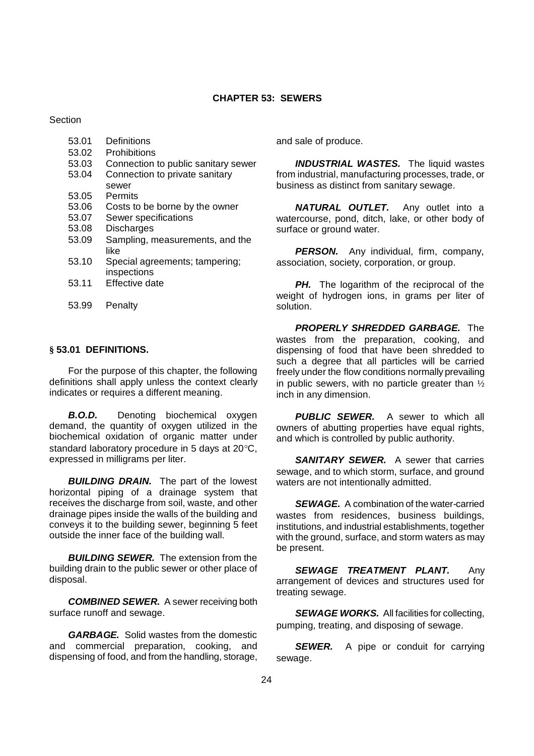#### **CHAPTER 53: SEWERS**

**Section** 

- 53.01 Definitions
- 53.02 Prohibitions
- 53.03 Connection to public sanitary sewer
- 53.04 Connection to private sanitary sewer
- 53.05 Permits
- 53.06 Costs to be borne by the owner
- 53.07 Sewer specifications
- 53.08 Discharges
- 53.09 Sampling, measurements, and the like
- 53.10 Special agreements; tampering; inspections
- 53.11 Effective date
- 53.99 Penalty

## **§ 53.01 DEFINITIONS.**

For the purpose of this chapter, the following definitions shall apply unless the context clearly indicates or requires a different meaning.

*B.O.D.* Denoting biochemical oxygen demand, the quantity of oxygen utilized in the biochemical oxidation of organic matter under standard laboratory procedure in 5 days at  $20^{\circ}$ C. expressed in milligrams per liter.

**BUILDING DRAIN.** The part of the lowest horizontal piping of a drainage system that receives the discharge from soil, waste, and other drainage pipes inside the walls of the building and conveys it to the building sewer, beginning 5 feet outside the inner face of the building wall.

**BUILDING SEWER.** The extension from the building drain to the public sewer or other place of disposal.

*COMBINED SEWER.* A sewer receiving both surface runoff and sewage.

*GARBAGE.* Solid wastes from the domestic and commercial preparation, cooking, and dispensing of food, and from the handling, storage,

and sale of produce.

**INDUSTRIAL WASTES.** The liquid wastes from industrial, manufacturing processes, trade, or business as distinct from sanitary sewage.

*NATURAL OUTLET.* Any outlet into a watercourse, pond, ditch, lake, or other body of surface or ground water.

*PERSON.* Any individual, firm, company, association, society, corporation, or group.

**PH.** The logarithm of the reciprocal of the weight of hydrogen ions, in grams per liter of solution.

*PROPERLY SHREDDED GARBAGE.* The wastes from the preparation, cooking, and dispensing of food that have been shredded to such a degree that all particles will be carried freely under the flow conditions normally prevailing in public sewers, with no particle greater than  $\frac{1}{2}$ inch in any dimension.

*PUBLIC SEWER.* A sewer to which all owners of abutting properties have equal rights, and which is controlled by public authority.

**SANITARY SEWER.** A sewer that carries sewage, and to which storm, surface, and ground waters are not intentionally admitted.

*SEWAGE.* A combination of the water-carried wastes from residences, business buildings, institutions, and industrial establishments, together with the ground, surface, and storm waters as may be present.

*SEWAGE TREATMENT PLANT.* Any arrangement of devices and structures used for treating sewage.

**SEWAGE WORKS.** All facilities for collecting, pumping, treating, and disposing of sewage.

**SEWER.** A pipe or conduit for carrying sewage.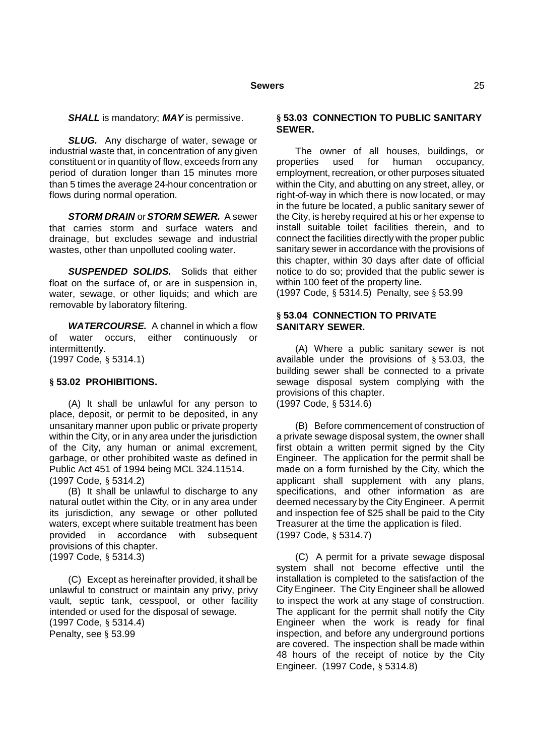*SHALL* is mandatory; *MAY* is permissive.

**SLUG.** Any discharge of water, sewage or industrial waste that, in concentration of any given constituent or in quantity of flow, exceeds from any period of duration longer than 15 minutes more than 5 times the average 24-hour concentration or flows during normal operation.

*STORM DRAIN* or*STORM SEWER.* A sewer that carries storm and surface waters and drainage, but excludes sewage and industrial wastes, other than unpolluted cooling water.

*SUSPENDED SOLIDS.* Solids that either float on the surface of, or are in suspension in. water, sewage, or other liquids; and which are removable by laboratory filtering.

*WATERCOURSE.* A channel in which a flow of water occurs, either continuously or intermittently. (1997 Code, § 5314.1)

### **§ 53.02 PROHIBITIONS.**

(A) It shall be unlawful for any person to place, deposit, or permit to be deposited, in any unsanitary manner upon public or private property within the City, or in any area under the jurisdiction of the City, any human or animal excrement, garbage, or other prohibited waste as defined in Public Act 451 of 1994 being MCL 324.11514. (1997 Code, § 5314.2)

(B) It shall be unlawful to discharge to any natural outlet within the City, or in any area under its jurisdiction, any sewage or other polluted waters, except where suitable treatment has been provided in accordance with subsequent provisions of this chapter. (1997 Code, § 5314.3)

(C) Except as hereinafter provided, it shall be unlawful to construct or maintain any privy, privy vault, septic tank, cesspool, or other facility intended or used for the disposal of sewage. (1997 Code, § 5314.4) Penalty, see § 53.99

### **§ 53.03 CONNECTION TO PUBLIC SANITARY SEWER.**

The owner of all houses, buildings, or<br>erties used for human occupancy. properties used for human occupancy, employment, recreation, or other purposes situated within the City, and abutting on any street, alley, or right-of-way in which there is now located, or may in the future be located, a public sanitary sewer of the City, is hereby required at his or her expense to install suitable toilet facilities therein, and to connect the facilities directly with the proper public sanitary sewer in accordance with the provisions of this chapter, within 30 days after date of official notice to do so; provided that the public sewer is within 100 feet of the property line.

(1997 Code, § 5314.5) Penalty, see § 53.99

## **§ 53.04 CONNECTION TO PRIVATE SANITARY SEWER.**

(A) Where a public sanitary sewer is not available under the provisions of § 53.03, the building sewer shall be connected to a private sewage disposal system complying with the provisions of this chapter. (1997 Code, § 5314.6)

(B) Before commencement of construction of a private sewage disposal system, the owner shall first obtain a written permit signed by the City Engineer. The application for the permit shall be made on a form furnished by the City, which the applicant shall supplement with any plans, specifications, and other information as are deemed necessary by the City Engineer. A permit and inspection fee of \$25 shall be paid to the City Treasurer at the time the application is filed. (1997 Code, § 5314.7)

(C) A permit for a private sewage disposal system shall not become effective until the installation is completed to the satisfaction of the City Engineer. The City Engineer shall be allowed to inspect the work at any stage of construction. The applicant for the permit shall notify the City Engineer when the work is ready for final inspection, and before any underground portions are covered. The inspection shall be made within 48 hours of the receipt of notice by the City Engineer. (1997 Code, § 5314.8)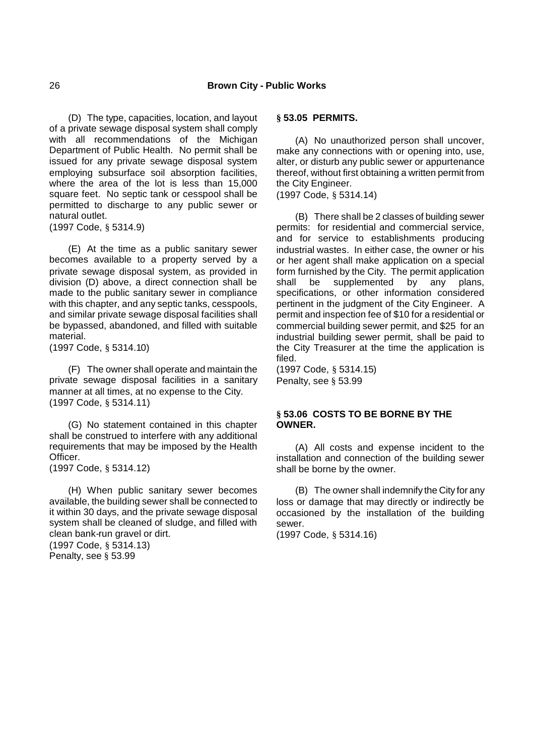(D) The type, capacities, location, and layout of a private sewage disposal system shall comply with all recommendations of the Michigan Department of Public Health. No permit shall be issued for any private sewage disposal system employing subsurface soil absorption facilities, where the area of the lot is less than 15,000 square feet. No septic tank or cesspool shall be permitted to discharge to any public sewer or natural outlet.

(1997 Code, § 5314.9)

(E) At the time as a public sanitary sewer becomes available to a property served by a private sewage disposal system, as provided in division (D) above, a direct connection shall be made to the public sanitary sewer in compliance with this chapter, and any septic tanks, cesspools, and similar private sewage disposal facilities shall be bypassed, abandoned, and filled with suitable material.

(1997 Code, § 5314.10)

(F) The owner shall operate and maintain the private sewage disposal facilities in a sanitary manner at all times, at no expense to the City. (1997 Code, § 5314.11)

(G) No statement contained in this chapter shall be construed to interfere with any additional requirements that may be imposed by the Health Officer.

(1997 Code, § 5314.12)

(H) When public sanitary sewer becomes available, the building sewer shall be connected to it within 30 days, and the private sewage disposal system shall be cleaned of sludge, and filled with clean bank-run gravel or dirt.

(1997 Code, § 5314.13) Penalty, see § 53.99

### **§ 53.05 PERMITS.**

(A) No unauthorized person shall uncover, make any connections with or opening into, use, alter, or disturb any public sewer or appurtenance thereof, without first obtaining a written permit from the City Engineer.

(1997 Code, § 5314.14)

(B) There shall be 2 classes of building sewer permits: for residential and commercial service, and for service to establishments producing industrial wastes. In either case, the owner or his or her agent shall make application on a special form furnished by the City. The permit application shall be supplemented by any plans, specifications, or other information considered pertinent in the judgment of the City Engineer. A permit and inspection fee of \$10 for a residential or commercial building sewer permit, and \$25 for an industrial building sewer permit, shall be paid to the City Treasurer at the time the application is filed.

(1997 Code, § 5314.15) Penalty, see § 53.99

## **§ 53.06 COSTS TO BE BORNE BY THE OWNER.**

(A) All costs and expense incident to the installation and connection of the building sewer shall be borne by the owner.

(B) The owner shall indemnify the City for any loss or damage that may directly or indirectly be occasioned by the installation of the building sewer.

(1997 Code, § 5314.16)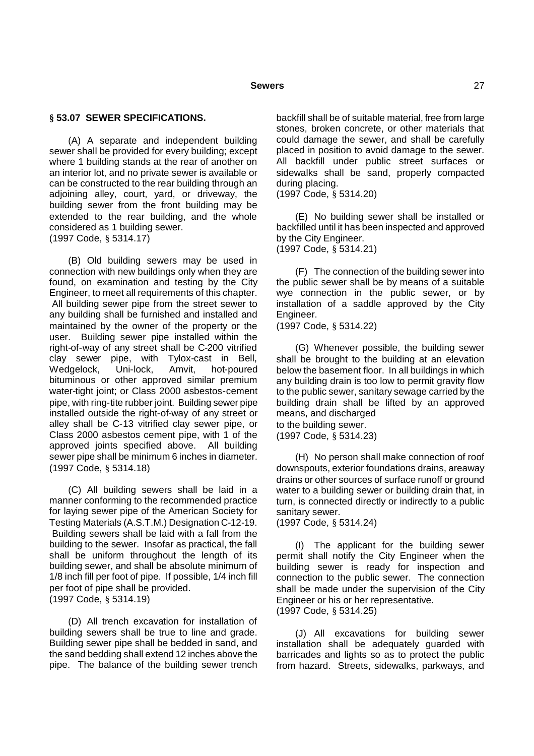#### **§ 53.07 SEWER SPECIFICATIONS.**

(A) A separate and independent building sewer shall be provided for every building; except where 1 building stands at the rear of another on an interior lot, and no private sewer is available or can be constructed to the rear building through an adjoining alley, court, yard, or driveway, the building sewer from the front building may be extended to the rear building, and the whole considered as 1 building sewer. (1997 Code, § 5314.17)

(B) Old building sewers may be used in connection with new buildings only when they are found, on examination and testing by the City Engineer, to meet all requirements of this chapter. All building sewer pipe from the street sewer to any building shall be furnished and installed and maintained by the owner of the property or the user. Building sewer pipe installed within the right-of-way of any street shall be C-200 vitrified clay sewer pipe, with Tylox-cast in Bell, Wedgelock, Uni-lock, Amvit, hot-poured bituminous or other approved similar premium water-tight joint; or Class 2000 asbestos-cement pipe, with ring-tite rubber joint. Building sewer pipe installed outside the right-of-way of any street or alley shall be C-13 vitrified clay sewer pipe, or Class 2000 asbestos cement pipe, with 1 of the approved joints specified above. All building sewer pipe shall be minimum 6 inches in diameter. (1997 Code, § 5314.18)

(C) All building sewers shall be laid in a manner conforming to the recommended practice for laying sewer pipe of the American Society for Testing Materials (A.S.T.M.) Designation C-12-19. Building sewers shall be laid with a fall from the building to the sewer. Insofar as practical, the fall shall be uniform throughout the length of its building sewer, and shall be absolute minimum of 1/8 inch fill per foot of pipe. If possible, 1/4 inch fill per foot of pipe shall be provided. (1997 Code, § 5314.19)

(D) All trench excavation for installation of building sewers shall be true to line and grade. Building sewer pipe shall be bedded in sand, and the sand bedding shall extend 12 inches above the pipe. The balance of the building sewer trench backfill shall be of suitable material, free from large stones, broken concrete, or other materials that could damage the sewer, and shall be carefully placed in position to avoid damage to the sewer. All backfill under public street surfaces or sidewalks shall be sand, properly compacted during placing.

(1997 Code, § 5314.20)

(E) No building sewer shall be installed or backfilled until it has been inspected and approved by the City Engineer. (1997 Code, § 5314.21)

(F) The connection of the building sewer into the public sewer shall be by means of a suitable wye connection in the public sewer, or by installation of a saddle approved by the City Engineer.

(1997 Code, § 5314.22)

(G) Whenever possible, the building sewer shall be brought to the building at an elevation below the basement floor. In all buildings in which any building drain is too low to permit gravity flow to the public sewer, sanitary sewage carried by the building drain shall be lifted by an approved means, and discharged to the building sewer.

(1997 Code, § 5314.23)

(H) No person shall make connection of roof downspouts, exterior foundations drains, areaway drains or other sources of surface runoff or ground water to a building sewer or building drain that, in turn, is connected directly or indirectly to a public sanitary sewer.

(1997 Code, § 5314.24)

(I) The applicant for the building sewer permit shall notify the City Engineer when the building sewer is ready for inspection and connection to the public sewer. The connection shall be made under the supervision of the City Engineer or his or her representative. (1997 Code, § 5314.25)

(J) All excavations for building sewer installation shall be adequately guarded with barricades and lights so as to protect the public from hazard. Streets, sidewalks, parkways, and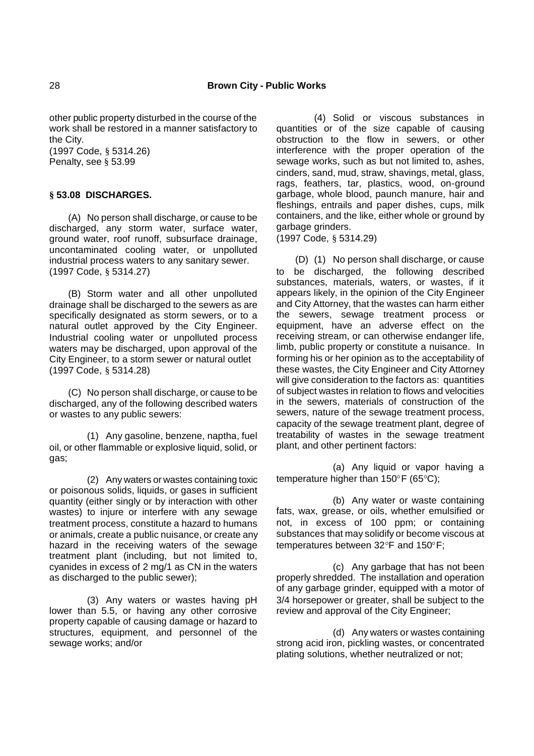other public property disturbed in the course of the work shall be restored in a manner satisfactory to the City.

(1997 Code, § 5314.26) Penalty, see § 53.99

## **§ 53.08 DISCHARGES.**

(A) No person shall discharge, or cause to be discharged, any storm water, surface water, ground water, roof runoff, subsurface drainage, uncontaminated cooling water, or unpolluted industrial process waters to any sanitary sewer. (1997 Code, § 5314.27)

(B) Storm water and all other unpolluted drainage shall be discharged to the sewers as are specifically designated as storm sewers, or to a natural outlet approved by the City Engineer. Industrial cooling water or unpolluted process waters may be discharged, upon approval of the City Engineer, to a storm sewer or natural outlet (1997 Code, § 5314.28)

(C) No person shall discharge, or cause to be discharged, any of the following described waters or wastes to any public sewers:

(1) Any gasoline, benzene, naptha, fuel oil, or other flammable or explosive liquid, solid, or gas;

(2) Any waters or wastes containing toxic or poisonous solids, liquids, or gases in sufficient quantity (either singly or by interaction with other wastes) to injure or interfere with any sewage treatment process, constitute a hazard to humans or animals, create a public nuisance, or create any hazard in the receiving waters of the sewage treatment plant (including, but not limited to, cyanides in excess of 2 mg/1 as CN in the waters as discharged to the public sewer);

(3) Any waters or wastes having pH lower than 5.5, or having any other corrosive property capable of causing damage or hazard to structures, equipment, and personnel of the sewage works; and/or

(4) Solid or viscous substances in quantities or of the size capable of causing obstruction to the flow in sewers, or other interference with the proper operation of the sewage works, such as but not limited to, ashes, cinders, sand, mud, straw, shavings, metal, glass, rags, feathers, tar, plastics, wood, on-ground garbage, whole blood, paunch manure, hair and fleshings, entrails and paper dishes, cups, milk containers, and the like, either whole or ground by garbage grinders.

(1997 Code, § 5314.29)

(D) (1) No person shall discharge, or cause to be discharged, the following described substances, materials, waters, or wastes, if it appears likely, in the opinion of the City Engineer and City Attorney, that the wastes can harm either the sewers, sewage treatment process or equipment, have an adverse effect on the receiving stream, or can otherwise endanger life, limb, public property or constitute a nuisance. In forming his or her opinion as to the acceptability of these wastes, the City Engineer and City Attorney will give consideration to the factors as: quantities of subject wastes in relation to flows and velocities in the sewers, materials of construction of the sewers, nature of the sewage treatment process, capacity of the sewage treatment plant, degree of treatability of wastes in the sewage treatment plant, and other pertinent factors:

(a) Any liquid or vapor having a temperature higher than  $150^{\circ}$ F (65 $^{\circ}$ C);

(b) Any water or waste containing fats, wax, grease, or oils, whether emulsified or not, in excess of 100 ppm; or containing substances that may solidify or become viscous at temperatures between  $32^{\circ}F$  and  $150^{\circ}F$ ;

(c) Any garbage that has not been properly shredded. The installation and operation of any garbage grinder, equipped with a motor of 3/4 horsepower or greater, shall be subject to the review and approval of the City Engineer;

(d) Any waters or wastes containing strong acid iron, pickling wastes, or concentrated plating solutions, whether neutralized or not;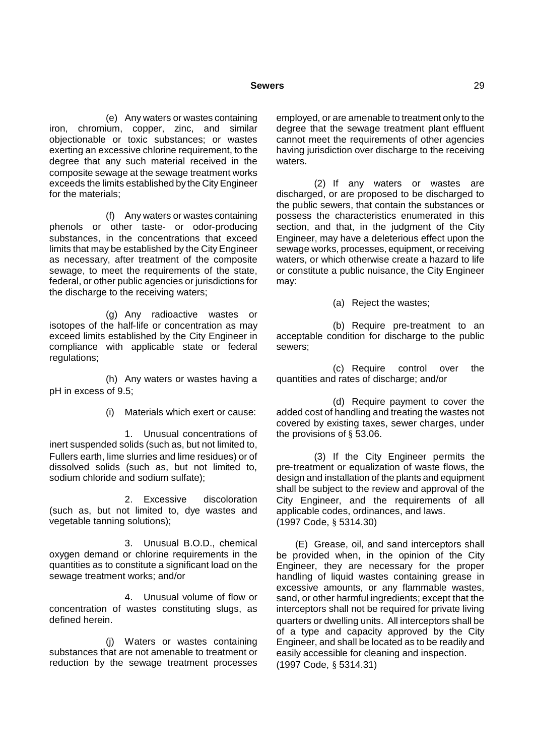(e) Any waters or wastes containing iron, chromium, copper, zinc, and similar objectionable or toxic substances; or wastes exerting an excessive chlorine requirement, to the degree that any such material received in the composite sewage at the sewage treatment works exceeds the limits established by the City Engineer for the materials;

(f) Any waters or wastes containing phenols or other taste- or odor-producing substances, in the concentrations that exceed limits that may be established by the City Engineer as necessary, after treatment of the composite sewage, to meet the requirements of the state, federal, or other public agencies or jurisdictions for the discharge to the receiving waters;

(g) Any radioactive wastes or isotopes of the half-life or concentration as may exceed limits established by the City Engineer in compliance with applicable state or federal regulations;

(h) Any waters or wastes having a pH in excess of 9.5;

(i) Materials which exert or cause:

1. Unusual concentrations of inert suspended solids (such as, but not limited to, Fullers earth, lime slurries and lime residues) or of dissolved solids (such as, but not limited to, sodium chloride and sodium sulfate);

2. Excessive discoloration (such as, but not limited to, dye wastes and vegetable tanning solutions);

3. Unusual B.O.D., chemical oxygen demand or chlorine requirements in the quantities as to constitute a significant load on the sewage treatment works; and/or

4. Unusual volume of flow or concentration of wastes constituting slugs, as defined herein.

(j) Waters or wastes containing substances that are not amenable to treatment or reduction by the sewage treatment processes employed, or are amenable to treatment only to the degree that the sewage treatment plant effluent cannot meet the requirements of other agencies having jurisdiction over discharge to the receiving waters.

(2) If any waters or wastes are discharged, or are proposed to be discharged to the public sewers, that contain the substances or possess the characteristics enumerated in this section, and that, in the judgment of the City Engineer, may have a deleterious effect upon the sewage works, processes, equipment, or receiving waters, or which otherwise create a hazard to life or constitute a public nuisance, the City Engineer may:

(a) Reject the wastes;

(b) Require pre-treatment to an acceptable condition for discharge to the public sewers;

(c) Require control over the quantities and rates of discharge; and/or

(d) Require payment to cover the added cost of handling and treating the wastes not covered by existing taxes, sewer charges, under the provisions of § 53.06.

(3) If the City Engineer permits the pre-treatment or equalization of waste flows, the design and installation of the plants and equipment shall be subject to the review and approval of the City Engineer, and the requirements of all applicable codes, ordinances, and laws. (1997 Code, § 5314.30)

(E) Grease, oil, and sand interceptors shall be provided when, in the opinion of the City Engineer, they are necessary for the proper handling of liquid wastes containing grease in excessive amounts, or any flammable wastes, sand, or other harmful ingredients; except that the interceptors shall not be required for private living quarters or dwelling units. All interceptors shall be of a type and capacity approved by the City Engineer, and shall be located as to be readily and easily accessible for cleaning and inspection. (1997 Code, § 5314.31)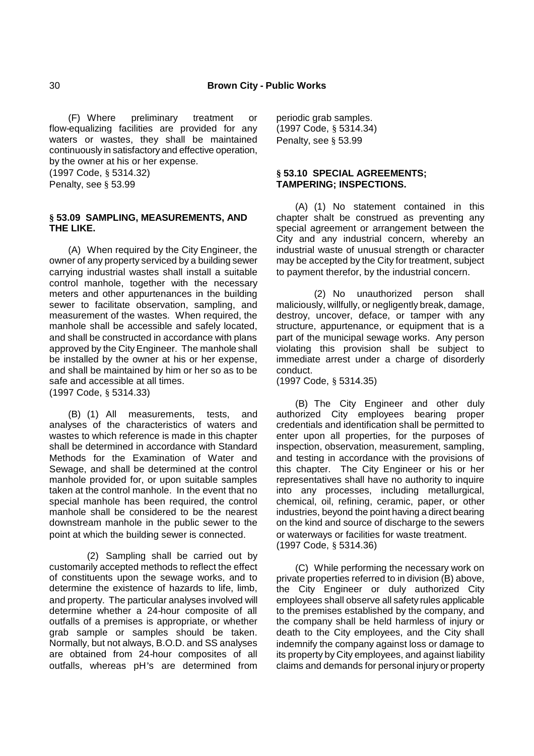(F) Where preliminary treatment or flow-equalizing facilities are provided for any waters or wastes, they shall be maintained continuously in satisfactory and effective operation, by the owner at his or her expense.

(1997 Code, § 5314.32)

Penalty, see § 53.99

### **§ 53.09 SAMPLING, MEASUREMENTS, AND THE LIKE.**

(A) When required by the City Engineer, the owner of any property serviced by a building sewer carrying industrial wastes shall install a suitable control manhole, together with the necessary meters and other appurtenances in the building sewer to facilitate observation, sampling, and measurement of the wastes. When required, the manhole shall be accessible and safely located, and shall be constructed in accordance with plans approved by the City Engineer. The manhole shall be installed by the owner at his or her expense, and shall be maintained by him or her so as to be safe and accessible at all times. (1997 Code, § 5314.33)

(B) (1) All measurements, tests, and analyses of the characteristics of waters and wastes to which reference is made in this chapter shall be determined in accordance with Standard Methods for the Examination of Water and Sewage, and shall be determined at the control manhole provided for, or upon suitable samples taken at the control manhole. In the event that no special manhole has been required, the control manhole shall be considered to be the nearest downstream manhole in the public sewer to the point at which the building sewer is connected.

(2) Sampling shall be carried out by customarily accepted methods to reflect the effect of constituents upon the sewage works, and to determine the existence of hazards to life, limb, and property. The particular analyses involved will determine whether a 24-hour composite of all outfalls of a premises is appropriate, or whether grab sample or samples should be taken. Normally, but not always, B.O.D. and SS analyses are obtained from 24-hour composites of all outfalls, whereas pH's are determined from

periodic grab samples. (1997 Code, § 5314.34) Penalty, see § 53.99

### **§ 53.10 SPECIAL AGREEMENTS; TAMPERING; INSPECTIONS.**

(A) (1) No statement contained in this chapter shalt be construed as preventing any special agreement or arrangement between the City and any industrial concern, whereby an industrial waste of unusual strength or character may be accepted by the City for treatment, subject to payment therefor, by the industrial concern.

(2) No unauthorized person shall maliciously, willfully, or negligently break, damage, destroy, uncover, deface, or tamper with any structure, appurtenance, or equipment that is a part of the municipal sewage works. Any person violating this provision shall be subject to immediate arrest under a charge of disorderly conduct.

(1997 Code, § 5314.35)

(B) The City Engineer and other duly authorized City employees bearing proper credentials and identification shall be permitted to enter upon all properties, for the purposes of inspection, observation, measurement, sampling, and testing in accordance with the provisions of this chapter. The City Engineer or his or her representatives shall have no authority to inquire into any processes, including metallurgical, chemical, oil, refining, ceramic, paper, or other industries, beyond the point having a direct bearing on the kind and source of discharge to the sewers or waterways or facilities for waste treatment. (1997 Code, § 5314.36)

(C) While performing the necessary work on private properties referred to in division (B) above, the City Engineer or duly authorized City employees shall observe all safety rules applicable to the premises established by the company, and the company shall be held harmless of injury or death to the City employees, and the City shall indemnify the company against loss or damage to its property by City employees, and against liability claims and demands for personal injury or property